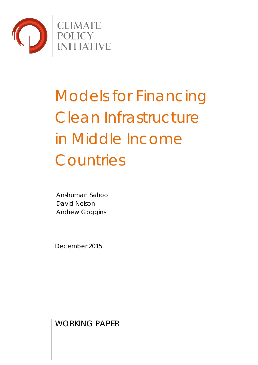

# Models for Financing Clean Infrastructure in Middle Income **Countries**

Anshuman Sahoo David Nelson Andrew Goggins

December 2015

WORKING PAPER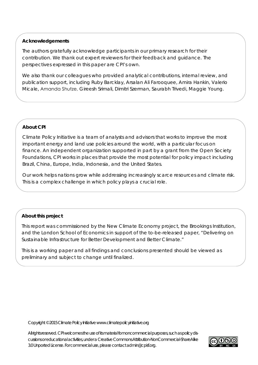## **Acknowledgements**

The authors gratefully acknowledge participants in our primary research for their contribution. We thank out expert reviewers for their feedback and guidance. The perspectives expressed in this paper are CPI's own.

We also thank our colleagues who provided analytical contributions, internal review, and publication support, including Ruby Barcklay, Arsalan Ali Farooquee, Amira Hankin, Valerio Micale, Amanda Shutze, Gireesh Srimali, Dimitri Szerman, Saurabh Trivedi, Maggie Young.

## **About CPI**

Climate Policy Initiative is a team of analysts and advisors that works to improve the most important energy and land use policies around the world, with a particular focus on finance. An independent organization supported in part by a grant from the Open Society Foundations, CPI works in places that provide the most potential for policy impact including Brazil, China, Europe, India, Indonesia, and the United States.

Our work helps nations grow while addressing increasingly scarce resources and climate risk. This is a complex challenge in which policy plays a crucial role.

# **About this project**

This report was commissioned by the New Climate Economy project, the Brookings Institution, and the London School of Economics in support of the to-be-released paper, "Delivering on Sustainable Infrastructure for Better Development and Better Climate."

This is a working paper and all findings and conclusions presented should be viewed as preliminary and subject to change until finalized.

Copyright © 2015 Climate Policy Initiative www.climatepolicyinitiative.org

All rights reserved. CPI welcomes the use of its material for noncommercial purposes, such as policy discussions or educational activities, under a Creative Commons Attribution-NonCommercial-ShareAlike 3.0 Unported License. For commercial use, please contact admin@cpisf.org.

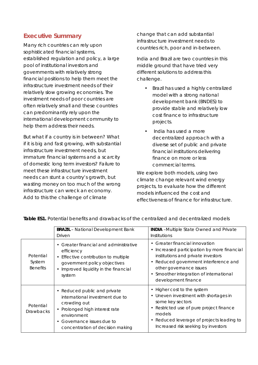# **Executive Summary**

Many rich countries can rely upon sophisticated financial systems, established regulation and policy, a large pool of institutional investors and governments with relatively strong financial positions to help them meet the infrastructure investment needs of their relatively slow growing economies. The investment needs of poor countries are often relatively small and these countries can predominantly rely upon the international development community to help them address their needs.

But what if a country is in between? What if it is big and fast growing, with substantial infrastructure investment needs, but immature financial systems and a scarcity of domestic long term investors? Failure to meet these infrastructure investment needs can stunt a country's growth, but wasting money on too much of the wrong infrastructure can wreck an economy. Add to this the challenge of climate

change that can add substantial infrastructure investment needs to countries rich, poor and in-between.

India and Brazil are two countries in this middle ground that have tried very different solutions to address this challenge.

- Brazil has used a highly centralized model with a strong national development bank (BNDES) to provide stable and relatively low cost finance to infrastructure projects.
- India has used a more decentralized approach with a diverse set of public and private financial institutions delivering finance on more or less commercial terms.

We explore both models, using two climate change relevant wind energy projects, to evaluate how the different models influenced the cost and effectiveness of finance for infrastructure.

|                                        | <b>BRAZIL</b> - National Development Bank<br>Driven                                                                                                                                                                                 | INDIA -Multiple State Owned and Private<br><b>Institutions</b>                                                                                                                                                                                                                                        |
|----------------------------------------|-------------------------------------------------------------------------------------------------------------------------------------------------------------------------------------------------------------------------------------|-------------------------------------------------------------------------------------------------------------------------------------------------------------------------------------------------------------------------------------------------------------------------------------------------------|
| Potential<br>System<br><b>Benefits</b> | Greater financial and administrative<br>$\bullet$<br>efficiency<br>Effective contribution to multiple<br>$\bullet$<br>government policy objectives<br>Improved liquidity in the financial<br>$\bullet$<br>system                    | Greater financial innovation<br>$\bullet$<br>Increased participation by more financial<br>$\bullet$<br>institutions and private investors<br>Reduced government interference and<br>$\bullet$<br>other governance issues<br>Smoother integration of international<br>$\bullet$<br>development finance |
| Potential<br><b>Drawbacks</b>          | Reduced public and private<br>$\bullet$<br>international investment due to<br>crowding out<br>Prolonged high interest rate<br>$\bullet$<br>environment<br>Governance issues due to<br>$\bullet$<br>concentration of decision making | Higher cost to the system<br>$\bullet$<br>Uneven investment with shortages in<br>$\bullet$<br>some key sectors<br>Restricted use of pure project finance<br>$\bullet$<br>models<br>Reduced leverage of projects leading to<br>$\bullet$<br>Increased risk seeking by investors                        |

*Table ES1. Potential benefits and drawbacks of the centralized and decentralized models*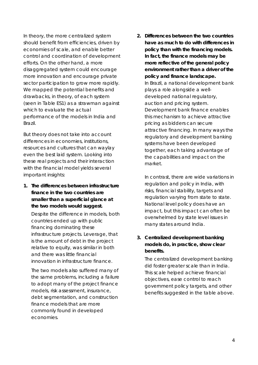In theory, the more centralized system should benefit from efficiencies, driven by economies of scale, and enable better control and coordination of development efforts. On the other hand, a more disaggregated system could encourage more innovation and encourage private sector participation to grow more rapidly. We mapped the potential benefits and drawbacks, in theory, of each system (seen in Table ES1) as a strawman against which to evaluate the actual performance of the models in India and Brazil.

But theory does not take into account differences in economies, institutions, resources and cultures that can waylay even the best laid system. Looking into these real projects and their interaction with the financial model yields several important insights:

**1. The differences between infrastructure finance in the two countries are smaller than a superficial glance at the two models would suggest.**

Despite the difference in models, both countries ended up with public financing dominating these infrastructure projects. Leverage, that is the amount of debt in the project relative to equity, was similar in both and there was little financial innovation in infrastructure finance.

The two models also suffered many of the same problems, including a failure to adopt many of the project finance models, risk assessment, insurance, debt segmentation, and construction finance models that are more commonly found in developed economies.

**2. Differences between the two countries have as much to do with differences in policy than with the financing models. In fact, the finance models may be more reflective of the general policy environment rather than a driver of the policy and finance landscape.**  In Brazil, a national development bank plays a role alongside a welldeveloped national regulatory, auction and pricing system. Development bank finance enables this mechanism to achieve attractive pricing as bidders can secure attractive financing. In many ways the regulatory and development banking systems have been developed together, each taking advantage of the capabilities and impact on the market.

In contrast, there are wide variations in regulation and policy in India, with risks, financial stability, targets and regulation varying from state to state. National level policy does have an impact, but this impact can often be overwhelmed by state level issues in many states around India.

**3. Centralized development banking models do, in practice, show clear benefits.**

The centralized development banking did foster greater scale than in India. This scale helped achieve financial objectives, ease control to reach government policy targets, and other benefits suggested in the table above.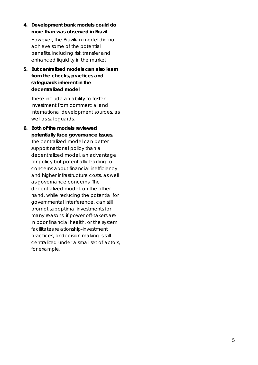- **4. Development bank models could do more than was observed in Brazil** However, the Brazilian model did not achieve some of the potential benefits, including risk transfer and enhanced liquidity in the market.
- **5. But centralized models can also learn from the checks, practices and safeguards inherent in the decentralized model**

These include an ability to foster investment from commercial and international development sources, as well as safeguards.

**6. Both of the models reviewed potentially face governance issues.** The centralized model can better support national policy than a decentralized model, an advantage for policy but potentially leading to concerns about financial inefficiency and higher infrastructure costs, as well as governance concerns. The decentralized model, on the other hand, while reducing the potential for governmental interference, can still prompt suboptimal investments for many reasons: if power off-takers are in poor financial health, or the system facilitates relationship -investment practices, or decision making is still centralized under a small set of actors, for example.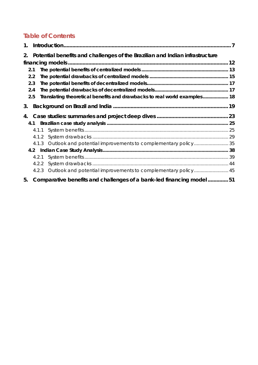# **Table of Contents**

| $\mathbf{1}$ . |                                                                              |  |
|----------------|------------------------------------------------------------------------------|--|
| 2.             | Potential benefits and challenges of the Brazilian and Indian infrastructure |  |
|                |                                                                              |  |
| 2.1            |                                                                              |  |
| 2.2            |                                                                              |  |
| 2.3            |                                                                              |  |
| 2.4            |                                                                              |  |
| 2.5            | Translating theoretical benefits and drawbacks to real world examples 18     |  |
| 3.             |                                                                              |  |
| 4.             |                                                                              |  |
|                | 4.1                                                                          |  |
|                | 4.1.1                                                                        |  |
|                | 4.1.2                                                                        |  |
|                | 4.1.3 Outlook and potential improvements to complementary policy35           |  |
|                |                                                                              |  |
|                | 4.2.1                                                                        |  |
|                | 4.2.2                                                                        |  |
|                | 4.2.3                                                                        |  |
| 5.             | Comparative benefits and challenges of a bank-led financing model51          |  |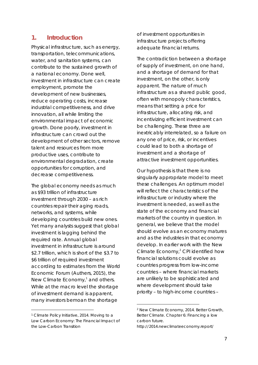# **1. Introduction**

Physical infrastructure, such as energy, transportation, telecommunications, water, and sanitation systems, can contribute to the sustained growth of a national economy. Done well, investment in infrastructure can create employment, promote the development of new businesses, reduce operating costs, increase industrial competitiveness, and drive innovation, all while limiting the environmental impact of economic growth. Done poorly, investment in infrastructure can crowd out the development of other sectors, remove talent and resources from more productive uses, contribute to environmental degradation, create opportunities for corruption, and decrease competitiveness.

The global economy needs as much as \$93 trillion of infrastructure investment through 2030 – as rich countries repair their aging roads, networks, and systems, while developing countries build new ones. Yet many analysts suggest that global investment is lagging behind the required rate. Annual global investment in infrastructure is around \$2.7 trillion, which is short of the \$3.7 to \$6 trillion of required investment according to estimates from the World Economic Forum (Authers, 2015), the New Climate Economy, $<sup>1</sup>$  and others.</sup> While at the macro level the shortage of investment demand is apparent, many investors bemoan the shortage

of investment opportunities in infrastructure projects offering adequate financial returns.

The contradiction between a shortage of supply of investment, on one hand, and a shortage of demand for that investment, on the other, is only apparent. The nature of much infrastructure as a shared public good, often with monopoly characteristics, means that setting a price for infrastructure, allocating risk, and incentivizing efficient investment can be challenging. These three are inextricably interrelated, so a failure on any one of price, risk, or incentives could lead to both a shortage of investment and a shortage of attractive investment opportunities.

Our hypothesis is that there is no singularly appropriate model to meet these challenges. An optimum model will reflect the characteristics of the infrastructure or industry where the investment is needed, as well as the state of the economy and financial markets of the country in question. In general, we believe that the model should evolve as an economy matures and as the industries in that economy develop. In earlier work with the New Climate Economy,<sup>2</sup> CPI identified how financial solutions could evolve as countries progress from low-income countries – where financial markets are unlikely to be sophisticated and where development should take priority – to high-income countries –

<sup>1</sup> Climate Policy Initiative, 2014. Moving to a Low Carbon Economy: The Financial Impact of the Low-Carbon Transition

<sup>2</sup> New Climate Economy, 2014. Better Growth, Better Climate. Chapter 6: Financing a low carbon future.

http://2014.newclimateeconomy.report/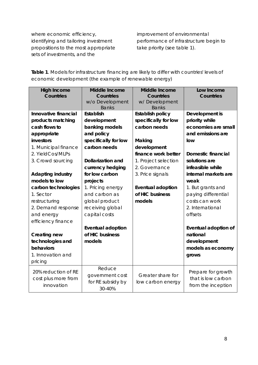where economic efficiency, identifying and tailoring investment propositions to the most appropriate sets of investments, and the

improvement of environmental performance of infrastructure begin to take priority (see table 1).

*Table 1. Models for infrastructure financing are likely to differ with countries' levels of economic development (the example of renewable energy)*

| <b>High Income</b><br>Countries | Middle Income<br>Countries<br>w/o Development<br><b>Banks</b> | Middle Income<br>Countries<br>w/Development<br><b>Banks</b> | Low Income<br>Countries |
|---------------------------------|---------------------------------------------------------------|-------------------------------------------------------------|-------------------------|
| Innovative financial            | Establish                                                     | Establish policy                                            | Development is          |
| products matching               | development                                                   | specifically for low                                        | priority while          |
| cash flows to                   | banking models                                                | carbon needs                                                | economies are small     |
| appropriate                     | and policy                                                    |                                                             | and emissions are       |
| investors                       | specifically for low                                          | Making                                                      | low                     |
| 1. Municipal finance            | carbon needs                                                  | development                                                 |                         |
| 2. YieldCos/MLPs                |                                                               | finance work better                                         | Domestic financial      |
| 3. Crowd sourcing               | Dollarization and                                             | 1. Project selection                                        | solutions are           |
|                                 | currency hedging                                              | 2. Governance                                               | infeasible while        |
| Adapting industry               | for low carbon                                                | 3. Price signals                                            | internal markets are    |
| models to low                   | projects                                                      |                                                             | weak                    |
| carbon technologies             | 1. Pricing energy                                             | Eventual adoption                                           | 1. But grants and       |
| 1. Sector                       | and carbon as                                                 | of HIC business                                             | paying differential     |
| restructuring                   | global product                                                | models                                                      | costs can work          |
| 2. Demand response              | receiving global                                              |                                                             | 2. International        |
| and energy                      | capital costs                                                 |                                                             | offsets                 |
| efficiency finance              |                                                               |                                                             |                         |
|                                 | Eventual adoption                                             |                                                             | Eventual adoption of    |
| Creating new                    | of HIC business                                               |                                                             | national                |
| technologies and                | models                                                        |                                                             | development             |
| behaviors                       |                                                               |                                                             | models as economy       |
| 1. Innovation and               |                                                               |                                                             | grows                   |
| pricing                         |                                                               |                                                             |                         |
| 20% reduction of RE             | Reduce                                                        |                                                             | Prepare for growth      |
| cost plus more from             | government cost                                               | Greater share for                                           | that is low carbon      |
| innovation                      | for RE subsidy by                                             | low carbon energy                                           | from the inception      |
|                                 | 30-40%                                                        |                                                             |                         |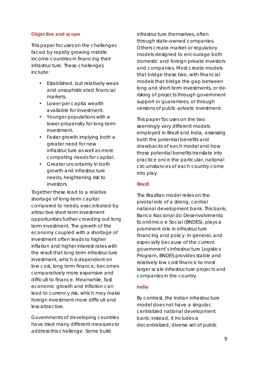#### **Objective and scope**

This paper focuses on the challenges faced by rapidly growing middle income countries in financing their infrastructure. These challenges include:

- Established, but relatively weak and unsophisticated financial markets.
- Lower per capita wealth available for investment.
- Younger populations with a lower propensity for long term investment.
- Faster growth implying both a greater need for new infrastructure as well as more competing needs for capital.
- Greater uncertainty in both growth and infrastructure needs, heightening risk to investors.

Together these lead to a relative shortage of long-term capital compared to needs, exacerbated by attractive short term investment opportunities further crowding out long term investment. The growth of the economy coupled with a shortage of investment often leads to higher inflation and higher interest rates with the result that long term infrastructure investment, which is dependent on low cost, long term finance, becomes comparatively more expensive and difficult to finance. Meanwhile, fast economic growth and inflation can lead to currency risk, which may make foreign investment more difficult and less attractive.

Governments of developing countries have tried many different measures to address this challenge. Some build

infrastructure themselves, often through state-owned companies. Others create market or regulatory models designed to encourage both domestic and foreign private investors and companies. Most create models that bridge these two, with financial models that bridge the gap between long and short term investments, or derisking of projects through government support or guarantees, or through versions of public-private investment.

This paper focuses on the two seemingly very different models employed in Brazil and India, assessing both the potential benefits and drawbacks of each model and how those potential benefits translate into practice once the particular, national circumstances of each country come into play.

#### **Brazil**

The Brazilian model relies on the pivotal role of a strong, central national development bank. This bank, Banco Nacional do Desenvolvimento Econômico e Social (BNDES), plays a prominent role in infrastructure financing and policy. In general, and especially because of the current government's Infrastructure Logistics Program, BNDES provides stable and relatively low cost finance to most larger scale infrastructure projects and companies in the country.

### **India**

By contrast, the Indian infrastructure model does not have a singular, centralized national development bank; instead, it includes a decentralized, diverse set of public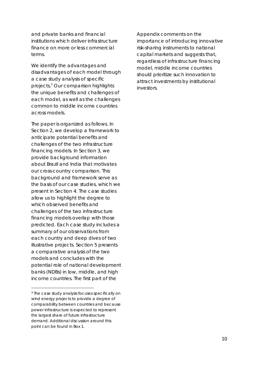and private banks and financial institutions which deliver infrastructure finance on more or less commercial terms.

We identify the advantages and disadvantages of each model through a case study analysis of specific projects. <sup>3</sup> Our comparison highlights the unique benefits and challenges of each model, as well as the challenges common to middle income countries across models.

The paper is organized as follows. In Section 2, we develop a framework to anticipate potential benefits and challenges of the two infrastructure financing models. In Section 3, we provide background information about Brazil and India that motivates our cross-country comparison. This background and framework serve as the basis of our case studies, which we present in Section 4. The case studies allow us to highlight the degree to which observed benefits and challenges of the two infrastructure financing models overlap with those predicted. Each case study includes a summary of our observations from each country and deep dives of two illustrative projects. Section 5 presents a comparative analysis of the two models and concludes with the potential role of national development banks (NDBs) in low, middle, and high income countries. The first part of the

Appendix comments on the importance of introducing innovative risk-sharing instruments to national capital markets and suggests that, regardless of infrastructure financing model, middle income countries should prioritize such innovation to attract investments by institutional investors.

<sup>&</sup>lt;sup>3</sup> The case study analysis focuses specifically on wind energy projects to provide a degree of comparability between countries and because power infrastructure is expected to represent the largest share of future infrastructure demand. Additional discussion around this point can be found in Box 1.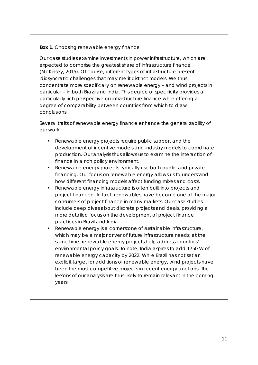#### *Box 1. Choosing renewable energy finance*

Our case studies examine investments in power infrastructure, which are expected to comprise the greatest share of infrastructure finance (McKinsey, 2015). Of course, different types of infrastructure present idiosyncratic challenges that may merit distinct models. We thus concentrate more specifically on renewable energy – and wind projects in particular – in both Brazil and India. This degree of specificity provides a particularly rich perspective on infrastructure finance while offering a degree of comparability between countries from which to draw conclusions.

Several traits of renewable energy finance enhance the generalizability of our work:

- Renewable energy projects require public support and the development of incentive models and industry models to coordinate production. Our analysis thus allows us to examine the interaction of finance in a rich policy environment.
- Renewable energy projects typically use both public and private financing. Our focus on renewable energy allows us to understand how different financing models affect funding mixes and costs.
- Renewable energy infrastructure is often built into projects and project financed. In fact, renewables have become one of the major consumers of project finance in many markets. Our case studies include deep dives about discrete projects and deals, providing a more detailed focus on the development of project finance practices in Brazil and India.
- Renewable energy is a cornerstone of sustainable infrastructure, which may be a major driver of future infrastructure needs; at the same time, renewable energy projects help address countries' environmental policy goals. To note, India aspires to add 175GW of renewable energy capacity by 2022. While Brazil has not set an explicit target for additions of renewable energy, wind projects have been the most competitive projects in recent energy auctions. The lessons of our analysis are thus likely to remain relevant in the coming years.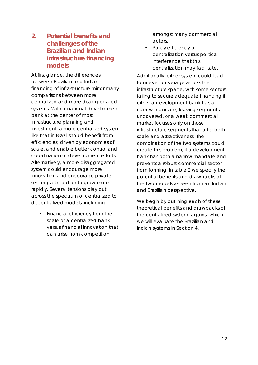**2. Potential benefits and challenges of the Brazilian and Indian infrastructure financing models**

At first glance, the differences between Brazilian and Indian financing of infrastructure mirror many comparisons between more centralized and more disaggregated systems. With a national development bank at the center of most infrastructure planning and investment, a more centralized system like that in Brazil should benefit from efficiencies, driven by economies of scale, and enable better control and coordination of development efforts. Alternatively, a more disaggregated system could encourage more innovation and encourage private sector participation to grow more rapidly. Several tensions play out across the spectrum of centralized to decentralized models, including:

• Financial efficiency from the scale of a centralized bank versus financial innovation that can arise from competition

amongst many commercial actors.

Policy efficiency of centralization versus political interference that this centralization may facilitate.

Additionally, either system could lead to uneven coverage across the infrastructure space, with some sectors failing to secure adequate financing if either a development bank has a narrow mandate, leaving segments uncovered, or a weak commercial market focuses only on those infrastructure segments that offer both scale and attractiveness. The combination of the two systems could create this problem, if a development bank has both a narrow mandate and prevents a robust commercial sector from forming. In table 2 we specify the potential benefits and drawbacks of the two models as seen from an Indian and Brazilian perspective.

We begin by outlining each of these theoretical benefits and drawbacks of the centralized system, against which we will evaluate the Brazilian and Indian systems in Section 4.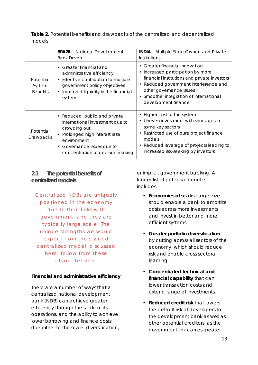|        |  |  | Table 2. Potential benefits and drawbacks of the centralized and decentralized |  |  |
|--------|--|--|--------------------------------------------------------------------------------|--|--|
| models |  |  |                                                                                |  |  |

|                                        | <b>BRAZIL</b> - National Development<br><b>Bank Driven</b>                                                                                                                                                    | <b>INDIA - Multiple State Owned and Private</b><br>Institutions                                                                                                                                                                                                     |  |
|----------------------------------------|---------------------------------------------------------------------------------------------------------------------------------------------------------------------------------------------------------------|---------------------------------------------------------------------------------------------------------------------------------------------------------------------------------------------------------------------------------------------------------------------|--|
| Potential<br>System<br><b>Benefits</b> | • Greater financial and<br>administrative efficiency<br>• Effective contribution to multiple<br>government policy objectives<br>Improved liquidity in the financial<br>$\bullet$<br>system                    | • Greater financial innovation<br>• Increased participation by more<br>financial institutions and private investors<br>• Reduced government interference and<br>other governance issues<br>• Smoother integration of international<br>development finance           |  |
| Potential<br><b>Drawbacks</b>          | • Reduced public and private<br>international investment due to<br>crowding out<br>• Prolonged high interest rate<br>environment<br>Governance issues due to<br>$\bullet$<br>concentration of decision making | Higher cost to the system<br>$\bullet$<br>• Uneven investment with shortages in<br>some key sectors<br>Restricted use of pure project finance<br>$\bullet$<br>models<br>Reduced leverage of projects leading to<br>$\bullet$<br>increased risk-seeking by investors |  |

**2.1 The potential benefits of centralized models**

*Centralized NDBs are uniquely positioned in the economy due to their links with government, and they are typically large scale. The unique strengths we would expect from the stylized centralized model, discussed here, follow from these characteristics.*

**Financial and administrative efficiency** 

There are a number of ways that a centralized national development bank (NDB) can achieve greater efficiency through the scale of its operations, and the ability to achieve lower borrowing and finance costs due either to the scale, diversification,

or implicit government backing. A longer list of potential benefits includes:

- *Economies of scale.* Larger size should enable a bank to amortize costs across more investments and invest in better and more efficient systems.
- *Greater portfolio diversification* by cutting across all sectors of the economy, which should reduce risk and enable cross sectoral learning.
- *Concentrated technical and financial capability* that can lower transaction costs and extend range of investments.
- *Reduced credit risk* that lowers the default risk of developers to the development bank as well as other potential creditors, as the government link carries greater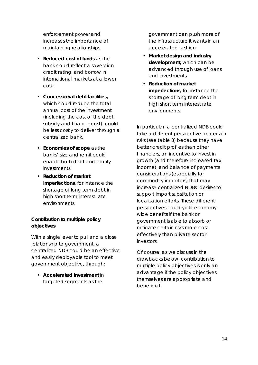enforcement power and increases the importance of maintaining relationships.

- *Reduced cost of funds* as the bank could reflect a sovereign credit rating, and borrow in international markets at a lower cost.
- *Concessional debt facilities,* which could reduce the total annual cost of the investment (including the cost of the debt subsidy and finance cost), could be less costly to deliver through a centralized bank.
- *Economies of scope* as the banks' size and remit could enable both debt and equity investments.
- *Reduction of market imperfections*, for instance the shortage of long term debt in high short term interest rate environments.

**Contribution to multiple policy objectives**

With a single lever to pull and a close relationship to government, a centralized NDB could be an effective and easily deployable tool to meet government objective, through:

• *Accelerated investment* in targeted segments as the

government can push more of the infrastructure it wants in an accelerated fashion

- *Market design and industry development,* which can be advanced through use of loans and investments
- *Reduction of market imperfections*, for instance the shortage of long term debt in high short term interest rate environments.

In particular, a centralized NDB could take a different perspective on certain risks (see table 3) because they have better credit profiles than other financiers, an incentive to invest in growth (and therefore increased tax income), and balance of payments considerations (especially for commodity importers) that may increase centralized NDBs' desires to support import substitution or localization efforts. These different perspectives could yield economywide benefits if the bank or government is able to absorb or mitigate certain risks more costeffectively than private sector investors.

Of course, as we discuss in the drawbacks below, contribution to multiple policy objectives is only an advantage if the policy objectives themselves are appropriate and beneficial.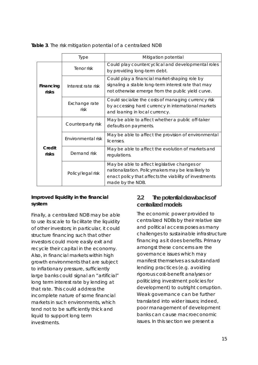|  |  | Table 3. The risk mitigation potential of a centralized NDB |  |
|--|--|-------------------------------------------------------------|--|
|  |  |                                                             |  |

|                    | <b>Type</b>           | Mitigation potential                                                                                                                                                              |
|--------------------|-----------------------|-----------------------------------------------------------------------------------------------------------------------------------------------------------------------------------|
| Financing<br>risks | Tenor risk            | Could play countercyclical and developmental roles<br>by providing long-term debt.                                                                                                |
|                    | Interest rate risk    | Could play a financial market-shaping role by<br>signaling a stable long-term interest rate that may<br>not otherwise emerge from the public yield curve.                         |
|                    | Exchange rate<br>risk | Could socialize the costs of managing currency risk<br>by accessing hard currency in international markets<br>and loaning in local currency.                                      |
| Credit<br>risks    | Counterparty risk     | May be able to affect whether a public off-taker<br>defaults on payments.                                                                                                         |
|                    | Environmental risk    | May be able to affect the provision of environmental<br>licenses.                                                                                                                 |
|                    | Demand risk           | May be able to affect the evolution of markets and<br>regulations.                                                                                                                |
|                    | Policy/legal risk     | May be able to affect legislative changes or<br>nationalization. Policymakers may be less likely to<br>enact policy that affects the viability of investments<br>made by the NDB. |

**Improved liquidity in the financial system**

Finally, a centralized NDB may be able to use its scale to facilitate the liquidity of other investors; in particular, it could structure financing such that other investors could more easily exit and recycle their capital in the economy. Also, in financial markets within high growth environments that are subject to inflationary pressure, sufficiently large banks could signal an "artificial" long term interest rate by lending at that rate. This could address the incomplete nature of some financial markets in such environments, which tend not to be sufficiently thick and liquid to support long term investments.

# **2.2 The potential drawbacks of centralized models**

The economic power provided to centralized NDBs by their relative size and political access poses as many challenges to sustainable infrastructure financing as it does benefits. Primary amongst these concerns are the governance issues which may manifest themselves as substandard lending practices (e.g. avoiding rigorous cost-benefit analyses or politicizing investment policies for development) to outright corruption. Weak governance can be further translated into wider issues; indeed, poor management of development banks can cause macroeconomic issues. In this section we present a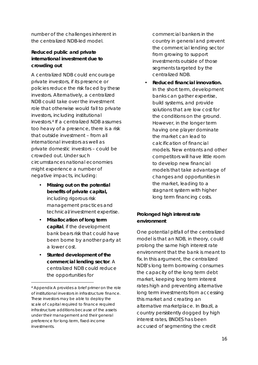number of the challenges inherent in the centralized NDB-led model.

**Reduced public and private international investment due to crowding out**

A centralized NDB could encourage private investors, if its presence or policies reduce the risk faced by these investors. Alternatively, a centralized NDB could take over the investment role that otherwise would fall to private investors, including institutional investors. <sup>4</sup> If a centralized NDB assumes too heavy of a presence, there is a risk that outside investment – from all international investors as well as private domestic investors – could be crowded out. Under such circumstances national economies might experience a number of negative impacts, including:

- *Missing out on the potential benefits of private capital,*  including rigorous risk management practices and technical/investment expertise.
- *Misallocation of long term capital*, if the development bank bears risk that could have been borne by another party at a lower cost.
- *Stunted development of the commercial lending sector*. A centralized NDB could reduce the opportunities for

commercial bankers in the country in general and prevent the commercial lending sector from growing to support investments outside of those segments targeted by the centralized NDB.

• *Reduced financial innovation.*  In the short term, development banks can gather expertise, build systems, and provide solutions that are low cost for the conditions on the ground. However, in the longer term having one player dominate the market can lead to calcification of financial models. New entrants and other competitors will have little room to develop new financial models that take advantage of changes and opportunities in the market, leading to a stagnant system with higher long term financing costs.

## **Prolonged high interest rate environment**

One potential pitfall of the centralized model is that an NDB, in theory, could prolong the same high interest rate environment that the bank is meant to fix. In this argument, the centralized NDB's long term borrowing consumes the capacity of the long term debt market, keeping long term interest rates high and preventing alternative long term investments from accessing this market and creating an alternative marketplace. In Brazil, a country persistently dogged by high interest rates, BNDES has been accused of segmenting the credit

<sup>4</sup> Appendix A provides a brief primer on the role of institutional investors in infrastructure finance. These investors may be able to deploy the scale of capital required to finance required infrastructure additions because of the assets under their management and their general preference for long-term, fixed-income investments.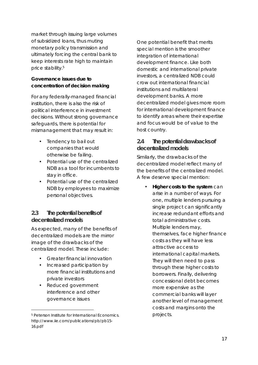market through issuing large volumes of subsidized loans, thus muting monetary policy transmission and ultimately forcing the central bank to keep interests rate high to maintain price stability.5

**Governance issues due to concentration of decision making**

For any federally-managed financial institution, there is also the risk of political interference in investment decisions. Without strong governance safeguards, there is potential for mismanagement that may result in:

- Tendency to bail out companies that would otherwise be failing.
- Potential use of the centralized NDB as a tool for incumbents to stay in office.
- Potential use of the centralized NDB by employees to maximize personal objectives.

## **2.3 The potential benefits of decentralized models**

As expected, many of the benefits of decentralized models are the mirror image of the drawbacks of the centralized model. These include:

- Greater financial innovation
- Increased participation by more financial institutions and private investors
- Reduced government interference and other governance issues

One potential benefit that merits special mention is the smoother integration of international development finance. Like both domestic and international private investors, a centralized NDB could crow out international financial institutions and multilateral development banks. A more decentralized model gives more room for international development finance to identify areas where their expertise and focus would be of value to the host country.

# **2.4 The potential drawbacks of decentralized models**

Similarly, the drawbacks of the decentralized model reflect many of the benefits of the centralized model. A few deserve special mention:

> • *Higher costs to the system* can arise in a number of ways. For one, multiple lenders pursuing a single project can significantly increase redundant efforts and total administrative costs. Multiple lenders may, themselves, face higher finance costs as they will have less attractive access to international capital markets. They will then need to pass through these higher costs to borrowers. Finally, delivering concessional debt becomes more expensive as the commercial banks will layer another level of management costs and margins onto the projects.

<sup>5</sup> Peterson Institute for International Economics. http://www.iie.com/publications/pb/pb15- 16.pdf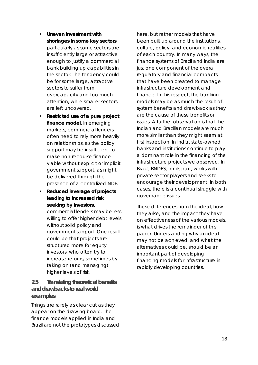- *Uneven investment with shortages in some key sectors*, particularly as some sectors are insufficiently large or attractive enough to justify a commercial bank building up capabilities in the sector. The tendency could be for some large, attractive sectors to suffer from overcapacity and too much attention, while smaller sectors are left uncovered.
- *Restricted use of a pure project finance model.* In emerging markets, commercial lenders often need to rely more heavily on relationships, as the policy support may be insufficient to make non-recourse finance viable without explicit or implicit government support, as might be delivered through the presence of a centralized NDB.
- *Reduced leverage of projects leading to increased risk seeking by investors,* commercial lenders may be less willing to offer higher debt levels without solid policy and government support. One result could be that projects are structured more for equity investors, who often try to increase returns, sometimes by taking on (and managing) higher levels of risk.

# **2.5 Translating theoretical benefits and drawbacks to real world examples**

Things are rarely as clear cut as they appear on the drawing board. The finance models applied in India and Brazil are not the prototypes discussed

here, but rather models that have been built up around the institutions, culture, policy, and economic realities of each country. In many ways, the finance systems of Brazil and India are just one component of the overall regulatory and financial compacts that have been created to manage infrastructure development and finance. In this respect, the banking models may be as much the *result* of system benefits and drawback as they are the *cause* of these benefits or issues. A further observation is that the Indian and Brazilian models are much more similar than they might seem at first inspection. In India, state-owned banks and institutions continue to play a dominant role in the financing of the infrastructure projects we observed. In Brazil, BNDES, for its part, works with private sector players and seeks to encourage their development. In both cases, there is a continual struggle with governance issues.

These differences from the ideal, how they arise, and the impact they have on effectiveness of the various models, is what drives the remainder of this paper. Understanding why an ideal may not be achieved, and what the alternatives could be, should be an important part of developing financing models for infrastructure in rapidly developing countries.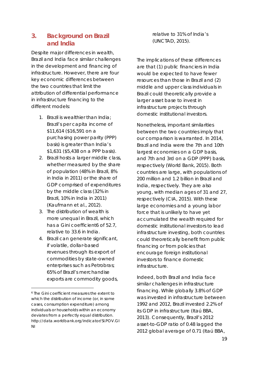# **3. Background on Brazil and India**

Despite major differences in wealth, Brazil and India face similar challenges in the development and financing of infrastructure. However, there are four key economic differences between the two countries that limit the attribution of differential performance in infrastructure financing to the different models:

- 1. Brazil is wealthier than India; Brazil's per capita income of \$11,614 (\$16,591 on a purchasing power parity (PPP) basis) is greater than India's \$1,631 (\$5,438 on a PPP basis).
- 2. Brazil hosts a larger middle class, whether measured by the share of population (48% in Brazil, 8% in India in 2011) or the share of GDP comprised of expenditures by the middle class (32% in Brazil, 10% in India in 2011) (Kaufmann et al., 2012).
- 3. The distribution of wealth is more unequal in Brazil, which has a Gini coefficient6 of 52.7, relative to 33.6 in India.
- 4. Brazil can generate significant, if volatile, dollar-based revenues through its export of commodities by state-owned enterprises such as Petrobras; 65% of Brazil's merchandise exports are commodity goods,

relative to 31% of India's (UNCTAD, 2015).

The implications of these differences are that (1) public financiers in India would be expected to have fewer resources than those in Brazil and (2) middle and upper class individuals in Brazil could theoretically provide a larger asset base to invest in infrastructure projects through domestic institutional investors.

Nonetheless, important similarities between the two countries imply that our comparison is warranted. In 2014, Brazil and India were the 7th and 10th largest economies on a GDP basis, and 7th and 3rd on a GDP (PPP) basis, respectively (World Bank, 2015). Both countries are large, with populations of 200 million and 1.2 billion in Brazil and India, respectively. They are also young, with median ages of 31 and 27, respectively (CIA, 2015). With these large economies and a young labor force that is unlikely to have yet accumulated the wealth required for domestic institutional investors to lead infrastructure investing, both countries could theoretically benefit from public financing or from policies that encourage foreign institutional investors to finance domestic infrastructure.

Indeed, both Brazil and India face similar challenges in infrastructure financing. While globally 3.8% of GDP was invested in infrastructure between 1992 and 2012, Brazil invested 2.2% of its GDP in infrastructure (Itaú BBA, 2013). Consequently, Brazil's 2012 asset-to-GDP ratio of 0.48 lagged the 2012 global average of 0.71 (Itaú BBA,

<sup>6</sup> The Gini coefficient measures the extent to which the distribution of income (or, in some cases, consumption expenditure) among individuals or households within an economy deviates from a perfectly equal distribution. http://data.worldbank.org/indicator/SI.POV.GI NI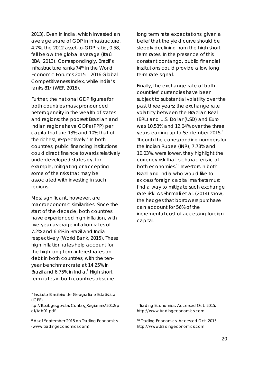2013). Even in India, which invested an average share of GDP in infrastructure, 4.7%, the 2012 asset-to-GDP ratio, 0.58, fell below the global average (Itaú BBA, 2013). Correspondingly, Brazil's infrastructure ranks 74th in the World Economic Forum's 2015 – 2016 Global Competitiveness Index, while India's ranks 81st(WEF, 2015).

Further, the national GDP figures for both countries mask pronounced heterogeneity in the wealth of states and regions; the poorest Brazilian and Indian regions have GDPs (PPP) per capita that are 13% and 10% that of the richest, respectively.<sup>7</sup> In both countries, public financing institutions could direct finance towards relatively underdeveloped states by, for example, mitigating or accepting some of the risks that may be associated with investing in such regions.

Most significant, however, are macroeconomic similarities. Since the start of the decade, both countries have experienced high inflation, with five-year average inflation rates of 7.2% and 6.6% in Brazil and India, respectively (World Bank, 2015). These high inflation rates help account for the high long term interest rates on debt in both countries, with the tenyear benchmark rate at 14.25% in Brazil and 6.75% in India.<sup>8</sup> High short term rates in both countries obscure

<sup>7</sup> Instituto Brasileiro de Geografia e Estatística (IGBE).

- ftp://ftp.ibge.gov.br/Contas\_Regionais/2012/p df/tab01.pdf
- 8 As of September 2015 on Trading Economics (www.tradingeconomics.com)

long term rate expectations, given a belief that the yield curve should be steeply declining from the high short term rates. In the presence of this constant contango, public financial institutions could provide a low long term rate signal.

Finally, the exchange rate of both countries' currencies have been subject to substantial volatility over the past three years; the exchange rate volatility between the Brazilian Real (BRL) and U.S. Dollar (USD) and Euro was 10.53% and 12.04% over the three years leading up to September 2015.<sup>9</sup> Though the corresponding numbers for the Indian Rupee (INR), 7.73% and 10.03%, were lower, they highlight the currency risk that is characteristic of both economies.<sup>10</sup> Investors in both Brazil and India who would like to access foreign capital markets must find a way to mitigate such exchange rate risk. As Shrimali et al. (2014) show, the hedges that borrowers purchase can account for 56% of the incremental cost of accessing foreign capital.

<sup>9</sup> Trading Economics. Accessed Oct. 2015. http://www.tradingeconomics.com

<sup>10</sup> Trading Economics. Accessed Oct. 2015. http://www.tradingeconomics.com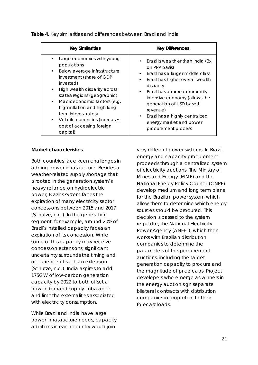| <b>Key Similarities</b>        | <b>Key Differences</b>             |  |
|--------------------------------|------------------------------------|--|
| Large economies with young     | Brazil is wealthier than India (3x |  |
| populations                    | $\bullet$                          |  |
| Below average infrastructure   | on PPP basis)                      |  |
| $\bullet$                      | Brazil has a larger middle class   |  |
| investment (share of GDP       | ٠                                  |  |
| invested)                      | Brazil has higher overall wealth   |  |
| High wealth disparity across   | $\bullet$                          |  |
| $\bullet$                      | disparity                          |  |
| states/regions (geographic)    | Brazil has a more commodity-       |  |
| Macroeconomic factors (e.g.    | $\bullet$                          |  |
| $\bullet$                      | intensive economy (allows the      |  |
| high inflation and high long   | generation of USD based            |  |
| term interest rates)           | revenue)                           |  |
| Volatile currencies (increases | Brazil has a highly centralized    |  |
| $\bullet$                      | $\bullet$                          |  |
| cost of accessing foreign      | energy market and power            |  |
| capital)                       | procurement process                |  |

*Table 4. Key similarities and differences between Brazil and India*

#### **Market characteristics**

Both countries face keen challenges in adding power infrastructure. Besides a weather-related supply shortage that is rooted in the generation system's heavy reliance on hydroelectric power, Brazil's system faces the expiration of many electricity sector concessions between 2015 and 2017 (Schutze, n.d.). In the generation segment, for example, around 20% of Brazil's installed capacity faces an expiration of its concession. While some of this capacity may receive concession extensions, significant uncertainty surrounds the timing and occurrence of such an extension (Schutze, n.d.). India aspires to add 175GW of low-carbon generation capacity by 2022 to both offset a power demand-supply imbalance and limit the externalities associated with electricity consumption.

While Brazil and India have large power infrastructure needs, capacity additions in each country would join

very different power systems. In Brazil, energy and capacity procurement proceeds through a centralized system of electricity auctions. The Ministry of Mines and Energy (MME) and the National Energy Policy Council (CNPE) develop medium and long term plans for the Brazilian power system which allow them to determine which energy sources should be procured. This decision is passed to the system regulator, the National Electricity Power Agency (ANEEL), which then works with Brazilian distribution companies to determine the parameters of the procurement auctions, including the target generation capacity to procure and the magnitude of price caps. Project developers who emerge as winners in the energy auction sign separate bilateral contracts with distribution companies in proportion to their forecast loads.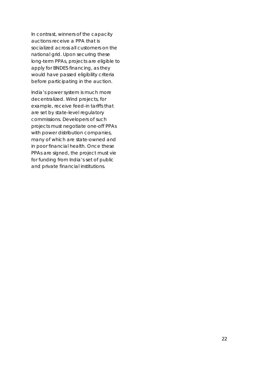In contrast, winners of the capacity auctions receive a PPA that is socialized across all customers on the national grid. Upon securing these long-term PPAs, projects are eligible to apply for BNDES financing, as they would have passed eligibility criteria before participating in the auction.

India's power system is much more decentralized. Wind projects, for example, receive feed-in tariffs that are set by state-level regulatory commissions. Developers of such projects must negotiate one-off PPAs with power distribution companies, many of which are state-owned and in poor financial health. Once these PPAs are signed, the project must vie for funding from India's set of public and private financial institutions.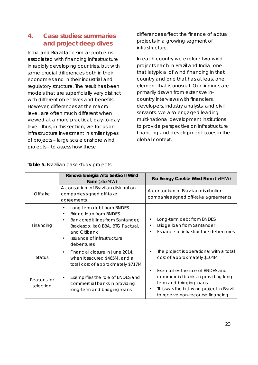# **4. Case studies: summaries and project deep dives**

India and Brazil face similar problems associated with financing infrastructure in rapidly developing countries, but with some crucial differences both in their economies and in their industrial and regulatory structure. The result has been models that are superficially very distinct with different objectives and benefits. However, differences at the macro level, are often much different when viewed at a more practical, day-to-day level. Thus, in this section, we focus on infrastructure investment in similar types of projects – large scale onshore wind projects – to assess how these

differences affect the finance of actual projects in a growing segment of infrastructure.

In each country we explore two wind projects each in Brazil and India, one that is typical of wind financing in that country and one that has at least one element that is unusual. Our findings are primarily drawn from extensive incountry interviews with financiers, developers, industry analysts, and civil servants. We also engaged leading multi-national development institutions to provide perspective on infrastructure financing and development issues in the global context.

|                          | Renova Energia Alto Sertão II Wind<br>Farm (363MW)                                                                                                                                                    | Rio Energy Caetité Wind Farm (54MW)                                                                                                                                                                             |  |
|--------------------------|-------------------------------------------------------------------------------------------------------------------------------------------------------------------------------------------------------|-----------------------------------------------------------------------------------------------------------------------------------------------------------------------------------------------------------------|--|
| Offtake                  | A consortium of Brazilian distribution<br>companies signed off-take<br>agreements                                                                                                                     | A consortium of Brazilian distribution<br>companies signed off-take agreements                                                                                                                                  |  |
| Financing                | Long-term debt from BNDES<br>Bridge loan from BNDES<br>Bank credit lines from Santander,<br>$\bullet$<br>Bradesco, Itaú BBA, BTG Pactual,<br>and Citibank<br>Issuance of infrastructure<br>debentures | Long-term debt from BNDES<br>Bridge loan from Santander<br>$\bullet$<br>Issuance of infrastructure debentures<br>$\bullet$                                                                                      |  |
| <b>Status</b>            | Financial closure in June 2014,<br>when it secured \$465M, and a<br>total cost of approximately \$717M                                                                                                | The project is operational with a total<br>$\bullet$<br>cost of approximately \$104M                                                                                                                            |  |
| Reasons for<br>selection | Exemplifies the role of BNDES and<br>commercial banks in providing<br>long-term and bridging loans                                                                                                    | Exemplifies the role of BNDES and<br>$\bullet$<br>commercial banks in providing long-<br>term and bridging loans<br>This was the first wind project in Brazil<br>$\bullet$<br>to receive non-recourse financing |  |

*Table 5. Brazilian case study projects*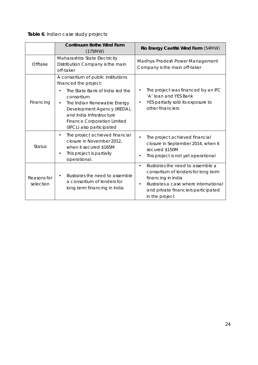*Table 6. Indian case study projects*

|                          | Continuum Bothe Wind Farm<br>(175MW)                                                                                                                                                                                                                                       | Rio Energy Caetité Wind Farm (54MW)                                                                                                                                                                                          |  |
|--------------------------|----------------------------------------------------------------------------------------------------------------------------------------------------------------------------------------------------------------------------------------------------------------------------|------------------------------------------------------------------------------------------------------------------------------------------------------------------------------------------------------------------------------|--|
| Offtake                  | Maharashtra State Electricity<br>Distribution Company is the main<br>off-taker                                                                                                                                                                                             | Madhya Pradesh Power Management<br>Company is the main off-taker                                                                                                                                                             |  |
| Financing                | A consortium of public institutions<br>financed the project:<br>The State Bank of India led the<br>consortium<br>The Indian Renewable Energy<br>Development Agency (IREDA),<br>and India Infrastructure<br><b>Finance Corporation Limited</b><br>(IIFCL) also participated | The project was financed by an IFC<br>'A' loan and YES Bank<br>YES partially sold its exposure to<br>other financiers                                                                                                        |  |
| <b>Status</b>            | The project achieved financial<br>$\bullet$<br>closure in November 2012,<br>when it secured \$165M<br>This project is partially<br>operational.                                                                                                                            | The project achieved financial<br>closure in September 2014, when it<br>secured \$150M<br>This project is not yet operational                                                                                                |  |
| Reasons for<br>selection | Illustrates the need to assemble<br>a consortium of lenders for<br>long term financing in India                                                                                                                                                                            | Illustrates the need to assemble a<br>$\bullet$<br>consortium of lenders for long term<br>financing in India<br>Illustrates a case where international<br>$\bullet$<br>and private financiers participated<br>in the project |  |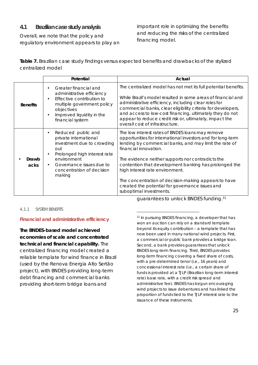## **4.1 Brazilian case study analysis**

Overall, we note that the policy and regulatory environment appears to play an important role in optimizing the benefits and reducing the risks of the centralized financing model.

*Table 7. Brazilian case study findings versus expected benefits and drawbacks of the stylized centralized model*

|                 | Potential                                                                                                                                                                                                       | Actual                                                                                                                                                                                                                                                                                                                                                                                                                                                                                    |
|-----------------|-----------------------------------------------------------------------------------------------------------------------------------------------------------------------------------------------------------------|-------------------------------------------------------------------------------------------------------------------------------------------------------------------------------------------------------------------------------------------------------------------------------------------------------------------------------------------------------------------------------------------------------------------------------------------------------------------------------------------|
| <b>Benefits</b> | Greater financial and<br>administrative efficiency<br>Effective contribution to<br>multiple government policy<br>objectives<br>Improved liquidity in the<br>financial system                                    | The centralized model has not met its full potential benefits.<br>While Brazil's model resulted in some areas of financial and<br>administrative efficiency, including clear roles for<br>commercial banks, clear eligibility criteria for developers,<br>and access to low-cost financing, ultimately they do not<br>appear to reduce credit risk or, ultimately, impact the<br>overall cost of infrastructure.                                                                          |
| Drawb<br>acks   | Reduced public and<br>$\bullet$<br>private international<br>investment due to crowding<br>out<br>Prolonged high interest rate<br>environment<br>Governance issues due to<br>concentration of decision<br>making | The low interest rates of BNDES loans may remove<br>opportunities for international investors and for long-term<br>lending by commercial banks, and may limit the rate of<br>financial innovation.<br>The evidence neither supports nor contradicts the<br>contention that development banking has prolonged the<br>high interest rate environment.<br>The concentration of decision-making appears to have<br>created the potential for governance issues and<br>suboptimal investments. |

#### 4.1.1 SYSTEM BENEFITS

### **Financial and administrative efficiency**

**The BNDES-based model achieved economies of scale and concentrated technical and financial capability.** The centralized financing model created a reliable template for wind finance in Brazil (used by the Renova Energia Alto Sertão project), with BNDES providing long-term debt financing and commercial banks providing short-term bridge loans and

<sup>11</sup> In pursuing BNDES financing, a developer that has won an auction can rely on a standard template beyond its equity contribution – a template that has now been used in many national wind projects. First, a commercial or public bank provides a bridge loan. Second, a bank provides guarantees that unlock BNDES long-term financing. Third, BNDES provides long-term financing covering a fixed share of costs, with a pre-determined tenor (i.e., 16 years) and concessional interest rate (i.e., a certain share of funds is provided at a TJLP (Brazilian long-term interest rate) base rate, with a credit risk spread and administrative fee). BNDES has begun encouraging wind projects to issue debentures and has linked the proportion of funds tied to the TJLP interest rate to the issuance of these instruments.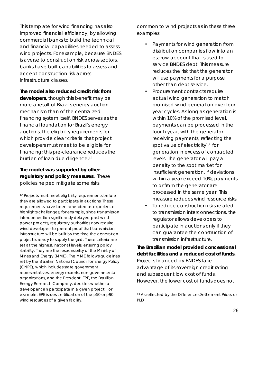This template for wind financing has also improved financial efficiency, by allowing commercial banks to build the technical and financial capabilities needed to assess wind projects. For example, because BNDES is averse to construction risk across sectors, banks have built capabilities to assess and accept construction risk across infrastructure classes.

**The model also reduced credit risk from developers**, though this benefit may be more a result of Brazil's energy auction mechanism than of the centralized financing system itself. BNDES serves as the financial foundation for Brazil's energy auctions, the eligibility requirements for which provide clear criteria that project developers must meet to be eligible for financing; this pre-clearance reduces the burden of loan due diligence.<sup>12</sup>

**The model was supported by other regulatory and policy measures.** These policies helped mitigate some risks

 $\overline{a}$ 

common to wind projects as in these three examples:

- Payments for wind generation from distribution companies flow into an escrow account that is used to service BNDES debt. This measure reduces the risk that the generator will use payments for a purpose other than debt service.
- Procurement contracts require actual wind generation to match promised wind generation over four year cycles. As long as generation is within 10% of the promised level, payments can be processed in the fourth year, with the generator receiving payments, reflecting the spot value of electricity<sup>13</sup> for generation in excess of contracted levels. The generator will pay a penalty to the spot market for insufficient generation. If deviations within a year exceed 10%, payments to or from the generator are processed in the same year. This measure reduces wind resource risks.
- To reduce construction risks related to transmission interconnections, the regulator allows developers to participate in auctions only if they can guarantee the construction of transmission infrastructure.

**The Brazilian model provided concessional debt facilities and a reduced cost of funds.** Projects financed by BNDES take advantage of its sovereign credit rating and subsequent low cost of funds. However, the lower cost of funds does not

<sup>12</sup> Projects must meet eligibility requirements before they are allowed to participate in auctions. These requirements have been amended as experience highlights challenges; for example, since transmission interconnection significantly delayed past wind power projects, regulatory authorities now require wind developers to present proof that transmission infrastructure will be built by the time the generation project is ready to supply the grid. These criteria are set at the highest, national levels, ensuring policy stability. They are the responsibility of the Ministry of Mines and Energy (MME). The MME follows guidelines set by the Brazilian National Council for Energy Policy (CNPE), which includes state government representatives, energy experts, non-governmental organizations, and the President. EPE, the Brazilian Energy Research Company, decides whether a developer can participate in a given project. For example, EPE issues certification of the p50 or p90 wind resources of a given facility.

<sup>13</sup> As reflected by the Differences Settlement Price, or PLD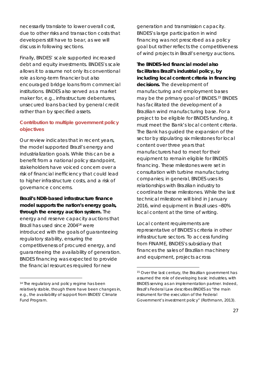necessarily translate to lower overall cost, due to other risks and transaction costs that developers still have to bear, as we will discuss in following sections.

Finally, BNDES' scale supported increased debt and equity investments. BNDES's scale allows it to assume not only its conventional role as long-term financier but also encouraged bridge loans from commercial institutions. BNDES also served as a market maker for, e.g., infrastructure debentures, unsecured loans backed by general credit rather than by specified assets.

## **Contribution to multiple government policy objectives**

Our review indicates that in recent years, the model supported Brazil's energy and industrialization goals. While this can be a benefit from a national policy standpoint, stakeholders have voiced concern over a risk of financial inefficiency that could lead to higher infrastructure costs, and a risk of governance concerns.

**Brazil's NDB-based infrastructure finance model supports the nation's energy goals, through the energy auction system.** The energy and reserve capacity auctions that Brazil has used since 200414 were introduced with the goals of guaranteeing regulatory stability, ensuring the competitiveness of procured energy, and guaranteeing the availability of generation. BNDES financing was expected to provide the financial resources required for new

generation and transmission capacity. BNDES's large participation in wind financing was not prescribed as a policy goal but rather reflects the competitiveness of wind projects in Brazil's energy auctions.

**The BNDES-led financial model also facilitates Brazil's industrial policy, by including local content criteria in financing decisions.** The development of manufacturing and employment bases may be the primary goal of BNDES.15 BNDES has facilitated the development of a Brazilian wind manufacturing base. For a project to be eligible for BNDES funding, it must meet the Bank's local content criteria. The Bank has guided the expansion of the sector by stipulating six milestones for local content over three years that manufacturers had to meet for their equipment to remain eligible for BNDES financing. These milestones were set in consultation with turbine manufacturing companies; in general, BNDES uses its relationships with Brazilian industry to coordinate these milestones. While the last technical milestone will bind in January 2016, wind equipment in Brazil uses ~80% local content at the time of writing.

Local content requirements are representative of BNDES's criteria in other infrastructure sectors. To access funding from FINAME, BNDES's subsidiary that finances the sales of Brazilian machinery and equipment, projects across

<sup>&</sup>lt;sup>14</sup> The regulatory and policy regime has been relatively stable, though there have been changes in, e.g., the availability of support from BNDES' Climate Fund Program.

<sup>15</sup> Over the last century, the Brazilian government has assumed the role of developing basic industries, with BNDES serving as an implementation partner. Indeed, Brazil's Federal Law describes BNDES as "the main instrument for the execution of the Federal Government's investment policy" (Rothmann, 2013).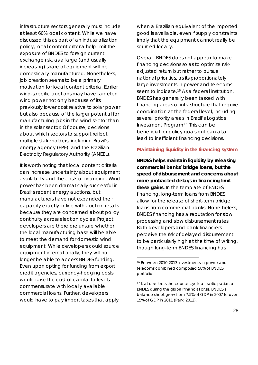infrastructure sectors generally must include at least 60% local content. While we have discussed this as part of an industrialization policy, local content criteria help limit the exposure of BNDES to foreign current exchange risk, as a large (and usually increasing) share of equipment will be domestically manufactured. Nonetheless, job creation seems to be a primary motivation for local content criteria. Earlier wind-specific auctions may have targeted wind power not only because of its previously lower cost relative to solar power but also because of the larger potential for manufacturing jobs in the wind sector than in the solar sector. Of course, decisions about which sectors to support reflect multiple stakeholders, including Brazil's energy agency (EPE), and the Brazilian Electricity Regulatory Authority (ANEEL).

It is worth noting that local content criteria can increase uncertainty about equipment availability and the costs of financing. Wind power has been dramatically successful in Brazil's recent energy auctions, but manufacturers have not expanded their capacity exactly in-line with auction results because they are concerned about policy continuity across election cycles. Project developers are therefore unsure whether the local manufacturing base will be able to meet the demand for domestic wind equipment. While developers could source equipment internationally, they will no longer be able to access BNDES funding. Even upon opting for funding from export credit agencies, currency-hedging costs would raise the cost of capital to levels commensurate with locally available commercial loans. Further, developers would have to pay import taxes that apply

when a Brazilian equivalent of the imported good is available, even if supply constraints imply that the equipment cannot really be sourced locally.

Overall, BNDES does not appear to make financing decisions so as to optimize riskadjusted return but rather to pursue national priorities, as its proportionately large investments in power and telecoms seem to indicate.<sup>16</sup> As a federal institution, BNDES has generally been tasked with financing areas of infrastructure that require coordination at the federal level, including several priority areas in Brazil's Logistics Investment Program17 This can be beneficial for policy goals but can also lead to inefficient financing decisions.

#### **Maintaining liquidity in the financing system**

**BNDES helps maintain liquidity by releasing commercial banks' bridge loans, but the speed of disbursement and concerns about more protracted delays in financing limit these gains.** In the template of BNDES financing, long-term loans from BNDES allow for the release of short-term bridge loans from commercial banks. Nonetheless, BNDES financing has a reputation for slow processing and slow disbursement rates. Both developers and bank financiers perceive the risk of delayed disbursement to be particularly high at the time of writing, though long-term BNDES financing has

<sup>16</sup> Between 2010-2013 investments in power and telecoms combined composed 58% of BNDES' portfolio.

<sup>17</sup> It also reflects the countercyclical participation of BNDES during the global financial crisis. BNDES's balance sheet grew from 7.5% of GDP in 2007 to over 15% of GDP in 2011 (Park, 2012).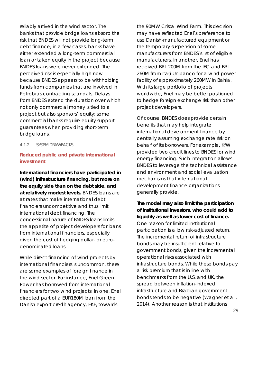reliably arrived in the wind sector. The banks that provide bridge loans absorb the risk that BNDES will not provide long-term debt finance; in a few cases, banks have either extended a long-term commercial loan or taken equity in the project because BNDES loans were never extended. The perceived risk is especially high now because BNDES appears to be withholding funds from companies that are involved in Petrobras contracting scandals. Delays from BNDES extend the duration over which not only commercial money is tied to a project but also sponsors' equity; some commercial banks require equity support guarantees when providing short-term bridge loans.

#### 4.1.2 SYSTEM DRAWBACKS

## **Reduced public and private international investment**

**International financiers have participated in (wind) infrastructure financing, but more on the equity side than on the debt side, and at relatively modest levels.** BNDES loans are at rates that make international debt financiers uncompetitive and thus limit international debt financing. The concessional nature of BNDES loans limits the appetite of project developers for loans from international financiers, especially given the cost of hedging dollar- or eurodenominated loans.

While direct financing of wind projects by international financiers is uncommon, there are some examples of foreign finance in the wind sector. For instance, Enel Green Power has borrowed from international financiers for two wind projects. In one, Enel directed part of a EUR180M loan from the Danish export credit agency, EKF, towards

the 90MW Cristal Wind Farm. This decision may have reflected Enel's preference to use Danish-manufactured equipment or the temporary suspension of some manufacturers from BNDES's list of eligible manufacturers. In another, Enel has received BRL 200M from the IFC and BRL 260M from Itaú Unibanco for a wind power facility of approximately 260MW in Bahia. With its large portfolio of projects worldwide, Enel may be better positioned to hedge foreign exchange risk than other project developers.

Of course, BNDES does provide certain benefits that may help integrate international development finance by centrally assuming exchange rate risk on behalf of its borrowers. For example, KfW provided two credit lines to BNDES for wind energy financing. Such integration allows BNDES to leverage the technical assistance and environment and social evaluation mechanisms that international development finance organizations generally provide.

**The model may also limit the participation of institutional investors, who could add to liquidity as well as lower cost of finance.** One reason for limited institutional participation is a low risk-adjusted return. The incremental return of infrastructure bonds may be insufficient relative to government bonds, given the incremental operational risks associated with infrastructure bonds. While these bonds pay a risk premium that is in line with benchmarks from the U.S. and UK, the spread between inflation-indexed infrastructure and Brazilian government bonds tends to be negative (Wagner et al., 2014). Another reason is that institutions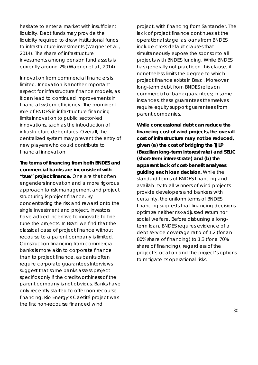hesitate to enter a market with insufficient liquidity. Debt funds may provide the liquidity required to draw institutional funds to infrastructure investments (Wagner et al., 2014). The share of infrastructure investments among pension fund assets is currently around 2% (Wagner et al., 2014).

Innovation from commercial financiers is limited. Innovation is another important aspect for infrastructure finance models, as it can lead to continued improvements in financial system efficiency. The prominent role of BNDES in infrastructure financing limits innovation to public sector-led innovations, such as the introduction of infrastructure debentures. Overall, the centralized system may prevent the entry of new players who could contribute to financial innovation.

**The terms of financing from both BNDES and commercial banks are inconsistent with "true" project finance.** One are that often engenders innovation and a more rigorous approach to risk management and project structuring is project finance. By concentrating the risk and reward onto the single investment and project, investors have added incentive to innovate to fine tune the projects. In Brazil we find that the classical case of project finance without recourse to a parent company is limited. Construction financing from commercial banks is more akin to corporate finance than to project finance, as banks often require corporate guarantees Interviews suggest that some banks assess project specifics only if the creditworthiness of the parent company is not obvious. Banks have only recently started to offer non-recourse financing. Rio Energy's Caetité project was the first non-recourse financed wind

project, with financing from Santander. The lack of project finance continues at the operational stage, as loans from BNDES include cross-default clauses that simultaneously expose the sponsor to all projects with BNDES funding. While BNDES has generally not practiced this clause, it nonetheless limits the degree to which project finance exists in Brazil. Moreover, long-term debt from BNDES relies on commercial or bank guarantees; in some instances, these guarantees themselves require equity support guarantees from parent companies.

**While concessional debt can reduce the financing cost of wind projects, the overall cost of infrastructure may not be reduced, given (a) the cost of bridging the TJLP (Brazilian long-term interest rate) and SELIC (short-term interest rate) and (b) the apparent lack of cost-benefit analyses guiding each loan decision.** While the standard terms of BNDES financing and availability to all winners of wind projects provide developers and bankers with certainty, the uniform terms of BNDES financing suggests that financing decisions optimize neither risk-adjusted return nor social welfare. Before disbursing a longterm loan, BNDES requires evidence of a debt service coverage ratio of 1.2 (for an 80% share of financing) to 1.3 (for a 70% share of financing), regardless of the project's location and the project's options to mitigate its operational risks.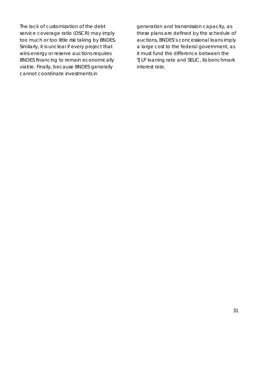The lack of customization of the debt service coverage ratio (DSCR) may imply too much or too little risk taking by BNDES. Similarly, it is unclear if every project that wins energy or reserve auctions requires BNDES financing to remain economically viable. Finally, because BNDES generally cannot coordinate investments in

generation and transmission capacity, as these plans are defined by the schedule of auctions, BNDES's concessional loans imply a large cost to the federal government, as it must fund the difference between the TJLP loaning rate and SELIC, its benchmark interest rate.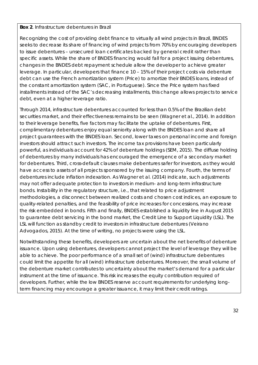## *Box 2. Infrastructure debentures in Brazil*

Recognizing the cost of providing debt finance to virtually all wind projects in Brazil, BNDES seeks to decrease its share of financing of wind projects from 70% by encouraging developers to issue debentures – unsecured loan certificates backed by general credit rather than specific assets. While the share of BNDES financing would fall for a project issuing debentures, changes in the BNDES debt repayment schedule allow the developer to achieve greater leverage. In particular, developers that finance 10 – 15% of their project costs via debenture debt can use the French amortization system (Price) to amortize their BNDES loans, instead of the constant amortization system (SAC, in Portuguese). Since the Price system has fixed installments instead of the SAC's decreasing installments, this change allows projects to service debt, even at a higher leverage ratio.

Through 2014, infrastructure debentures accounted for less than 0.5% of the Brazilian debt securities market, and their effectiveness remains to be seen (Wagner et al., 2014). In addition to their leverage benefits, five factors may facilitate the uptake of debentures. First, complimentary debentures enjoy equal seniority along with the BNDES loan and share all project guarantees with the BNDES loan. Second, lower taxes on personal income and foreign investors should attract such investors. The income tax provisions have been particularly powerful, as individuals account for 42% of debenture holdings (SEM, 2015). The diffuse holding of debentures by many individuals has encouraged the emergence of a secondary market for debentures. Third, cross-default clauses make debentures safer for investors, as they would have access to assets of all projects sponsored by the issuing company. Fourth, the terms of debentures include inflation indexation. As Wagner et al. (2014) indicate, such adjustments may not offer adequate protection to investors in medium- and long-term infrastructure bonds. Instability in the regulatory structure, i.e., that related to price adjustment methodologies, a disconnect between realized costs and chosen cost indices, an exposure to quality-related penalties, and the feasibility of price increases for concessions, may increase the risk embedded in bonds. Fifth and finally, BNDES established a liquidity line in August 2015 to guarantee debt servicing in the bond market, the Credit Line to Support Liquidity (LSL). The LSL will function as standby credit to investors in infrastructure debentures (Veirano Advogados, 2015). At the time of writing, no projects were using the LSL.

Notwithstanding these benefits, developers are uncertain about the net benefits of debenture issuance. Upon using debentures, developers cannot project the level of leverage they will be able to achieve. The poor performance of a small set of (wind) infrastructure debentures could limit the appetite for all (wind) infrastructure debentures. Moreover, the small volume of the debenture market contributes to uncertainty about the market's demand for a particular instrument at the time of issuance. This risk increases the equity contribution required of developers. Further, while the low BNDES reserve account requirements for underlying longterm financing may encourage a greater issuance, it may limit their credit ratings.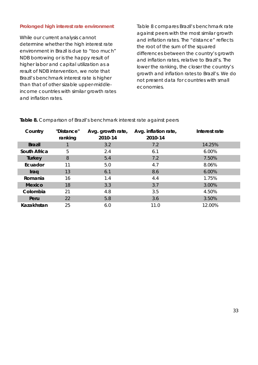#### **Prolonged high interest rate environment**

While our current analysis cannot determine whether the high interest rate environment in Brazil is due to "too much" NDB borrowing or is the happy result of higher labor and capital utilization as a result of NDB intervention, we note that Brazil's benchmark interest rate is higher than that of other sizable upper-middleincome countries with similar growth rates and inflation rates.

Table 8 compares Brazil's benchmark rate against peers with the most similar growth and inflation rates. The "distance" reflects the root of the sum of the squared differences between the country's growth and inflation rates, relative to Brazil's. The lower the ranking, the closer the country's growth and inflation rates to Brazil's. We do not present data for countries with small economies.

| Country       | "Distance"<br>ranking | Avg. growth rate,<br>2010-14 | Avg. inflation rate,<br>2010-14 | Interest rate |
|---------------|-----------------------|------------------------------|---------------------------------|---------------|
| <b>Brazil</b> |                       | 3.2                          | 7.2                             | 14.25%        |
| South Africa  | 5                     | 2.4                          | 6.1                             | 6.00%         |
| Turkey        | 8                     | 5.4                          | 7.2                             | 7.50%         |
| Ecuador       | 11                    | 5.0                          | 4.7                             | 8.06%         |
| Iraq          | 13                    | 6.1                          | 8.6                             | 6.00%         |
| Romania       | 16                    | 1.4                          | 4.4                             | 1.75%         |
| Mexico        | 18                    | 3.3                          | 3.7                             | 3.00%         |
| Colombia      | 21                    | 4.8                          | 3.5                             | 4.50%         |
| Peru          | 22                    | 5.8                          | 3.6                             | 3.50%         |
| Kazakhstan    | 25                    | 6.0                          | 11.0                            | 12.00%        |

*Table 8. Comparison of Brazil's benchmark interest rate against peers*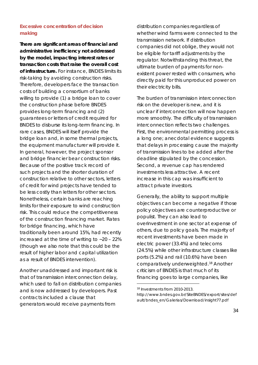## **Excessive concentration of decision making**

**There are significant areas of financial and administrative inefficiency not addressed by the model, impacting interest rates or transaction costs that raise the overall cost of infrastructure.** For instance, BNDES limits its risk-taking by avoiding construction risks. Therefore, developers face the transaction costs of building a consortium of banks willing to provide (1) a bridge loan to cover the construction phase before BNDES provides long-term financing and (2) guarantees or letters of credit required for BNDES to disburse its long-term financing. In rare cases, BNDES will itself provide the bridge loan and, in some thermal projects, the equipment manufacturer will provide it. In general, however, the project sponsor and bridge financier bear construction risks. Because of the positive track record of such projects and the shorter duration of construction relative to other sectors, letters of credit for wind projects have tended to be less costly than letters for other sectors. Nonetheless, certain banks are reaching limits for their exposure to wind construction risk. This could reduce the competitiveness of the construction financing market. Rates for bridge financing, which have traditionally been around 15%, had recently increased at the time of writing to ~20 – 22% (though we also note that this could be the result of higher labor and capital utilization as a result of BNDES intervention).

Another unaddressed and important risk is that of transmission interconnection delay, which used to fall on distribution companies and is now addressed by developers. Past contracts included a clause that generators would receive payments from

distribution companies regardless of whether wind farms were connected to the transmission network. If distribution companies did not oblige, they would not be eligible for tariff adjustments by the regulator. Notwithstanding this threat, the ultimate burden of payments for nonexistent power rested with consumers, who directly paid for this unproduced power on their electricity bills.

The burden of transmission interconnection risk on the developer is new, and it is unclear if interconnection will now happen more smoothly. The difficulty of transmission interconnection reflects two challenges. First, the environmental permitting process is a long one; anecdotal evidence suggests that delays in processing cause the majority of transmission lines to be added after the deadline stipulated by the concession. Second, a revenue cap has rendered investments less attractive. A recent increase in this cap was insufficient to attract private investors.

Generally, the ability to support multiple objectives can become a negative if those policy objectives are counterproductive or populist. They can also lead to overinvestment in one sector at expense of others, due to policy goals. The majority of recent investments have been made in electric power (33.4%) and telecoms (24.5%) while other infrastructure classes like ports (5.2%) and rail (10.6%) have been comparatively underweighted.18 Another criticism of BNDES is that much of its financing goes to large companies, like

<sup>18</sup> Investments from 2010-2013. http://www.bndes.gov.br/SiteBNDES/export/sites/def ault/bndes\_en/Galerias/Download/insight77.pdf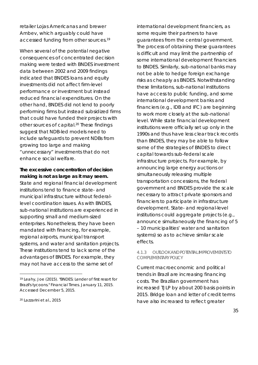retailer Lojas Americanas and brewer Ambev, which arguably could have accessed funding from other sources. 19

When several of the potential negative consequences of concentrated decision making were tested with BNDES investment data between 2002 and 2009 findings indicated that BNDES loans and equity investments did not affect firm-level performance or investment but instead reduced financial expenditures. On the other hand, BNDES did not lend to poorly performing firms but instead subsidized firms that could have funded their projects with other sources of capital. <sup>20</sup> These findings suggest that NDB-led models need to include safeguards to prevent NDBs from growing too large and making "unnecessary" investments that do not enhance social welfare.

**The excessive concentration of decision making is not as large as it may seem.**  State and regional financial development institutions tend to finance state- and municipal infrastructure without federallevel coordination issues. As with BNDES, sub-national institutions are experienced in supporting small and medium-sized enterprises. Nonetheless, they have been mandated with financing, for example, regional airports, municipal transport systems, and water and sanitation projects. These institutions tend to lack some of the advantages of BNDES. For example, they may not have access to the same set of

international development financiers, as some require their partners to have guarantees from the central government. The process of obtaining these guarantees is difficult and may limit the partnership of some international development financiers to BNDES. Similarly, sub-national banks may not be able to hedge foreign exchange risks as cheaply as BNDES. Notwithstanding these limitations, sub-national institutions have access to public funding, and some international development banks and financiers (e.g., IDB and IFC) are beginning to work more closely at the sub-national level. While state financial development institutions were officially set up only in the 1990s and thus have less clear track records than BNDES, they may be able to follow some of the strategies of BNDES to direct capital towards sub-federal scale infrastructure projects. For example, by announcing large energy auctions or simultaneously releasing multiple transportation concessions, the federal government and BNDES provide the scale necessary to attract private sponsors and financiers to participate in infrastructure development. State- and regional-level institutions could aggregate projects (e.g., announce simultaneously the financing of 5 – 10 municipalities' water and sanitation systems) so as to achieve similar scale effects.

#### 4.1.3 OUTLOOK AND POTENTIAL IMPROVEMENTS TO COMPLEMENTARY POLICY

Current macroeconomic and political trends in Brazil are increasing financing costs. The Brazilian government has increased TJLP by about 200 basis points in 2015. Bridge loan and letter of credit terms have also increased to reflect greater

<sup>19</sup> Leahy, Joe (2015). "BNDES: Lender of first resort for Brazil's tycoons." *Financial Times*. January 11, 2015. Accessed December 5, 2015.

<sup>20</sup> Lazzarini et al., 2015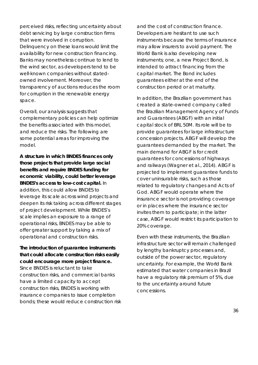perceived risks, reflecting uncertainty about debt servicing by large construction firms that were involved in corruption. Delinquency on these loans would limit the availability for new construction financing. Banks may nonetheless continue to lend to the wind sector, as developers tend to be well-known companies without statedowned involvement. Moreover, the transparency of auctions reduces the room for corruption in the renewable energy space.

Overall, our analysis suggests that complementary policies can help optimize the benefits associated with this model, and reduce the risks. The following are some potential areas for improving the model.

**A structure in which BNDES finances only those projects that provide large social benefits and require BNDES funding for economic viability, could better leverage BNDES's access to low-cost capital.** In addition, this could allow BNDES to leverage its scale across wind projects and deepen its risk taking across different stages of project development. While BNDES's scale implies an exposure to a range of operational risks, BNDES may be able to offer greater support by taking a mix of operational and construction risks.

**The introduction of guarantee instruments that could allocate construction risks easily could encourage more project finance.** Since BNDES is reluctant to take construction risks, and commercial banks have a limited capacity to accept construction risks, BNDES is working with insurance companies to issue completion bonds; these would reduce construction risk and the cost of construction finance. Developers are hesitant to use such instruments because the terms of insurance may allow insurers to avoid payment. The World Bank is also developing new instruments; one, a new Project Bond, is intended to attract financing from the capital market. The Bond includes guarantees either at the end of the construction period or at maturity.

In addition, the Brazilian government has created a state-owned company called the Brazilian Management Agency of Funds and Guarantees (ABGF) with an initial capital stock of BRL 50M. Its role will be to provide guarantees for large infrastructure concession projects. ABGF will develop the guarantees demanded by the market. The main demand for ABGF is for credit guarantees for concessions of highways and railways (Wagner et al., 2014). ABGF is projected to implement guarantee funds to cover uninsurable risks, such as those related to regulatory changes and Acts of God. ABGF would operate where the insurance sector is not providing coverage or in places where the insurance sector invites them to participate; in the latter case, ABGF would restrict its participation to 20% coverage.

Even with these instruments, the Brazilian infrastructure sector will remain challenged by lengthy bankruptcy processes and, outside of the power sector, regulatory uncertainty. For example, the World Bank estimated that water companies in Brazil have a regulatory risk premium of 5%, due to the uncertainty around future concessions.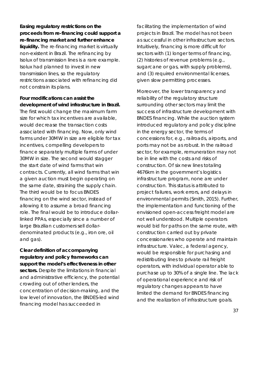**Easing regulatory restrictions on the proceeds from re-financing could support a re-financing market and further enhance liquidity.** The re-financing market is virtually non-existent in Brazil. The refinancing by Isolux of transmission lines is a rare example. Isolux had planned to invest in new transmission lines, so the regulatory restrictions associated with refinancing did not constrain its plans.

**Four modifications can assist the development of wind infrastructure in Brazil.** The first would change the maximum farm size for which tax incentives are available, would decrease the transaction costs associated with financing. Now, only wind farms under 30MW in size are eligible for tax incentives, compelling developers to finance separately multiple farms of under 30MW in size. The second would stagger the start date of wind farms that win contracts. Currently, all wind farms that win a given auction must begin operating on the same date, straining the supply chain. The third would be to focus BNDES financing on the wind sector, instead of allowing it to assume a broad financing role. The final would be to introduce dollarlinked PPAs, especially since a number of large Brazilian customers sell dollardenominated products (e.g., iron ore, oil and gas).

**Clear definition of accompanying regulatory and policy frameworks can support the model's effectiveness in other sectors.** Despite the limitations in financial and administrative efficiency, the potential crowding out of other lenders, the concentration of decision-making, and the low level of innovation, the BNDES-led wind financing model has succeeded in

facilitating the implementation of wind projects in Brazil. The model has not been as successful in other infrastructure sectors. Intuitively, financing is more difficult for sectors with (1) longer terms of financing, (2) histories of revenue problems (e.g., sugarcane or gas, with supply problems), and (3) required environmental licenses, given slow permitting processes.

Moreover, the lower transparency and reliability of the regulatory structure surrounding other sectors may limit the success of infrastructure development with BNDES financing. While the auction system introduced regulatory and policy discipline in the energy sector, the terms of concessions for, e.g., railroads, airports, and ports may not be as robust. In the railroad sector, for example, remuneration may not be in line with the costs and risks of construction. Of six new lines totaling 4676km in the government's logistics infrastructure program, none are under construction. This status is attributed to project failures, work errors, and delays in environmental permits (Smith, 2015). Further, the implementation and functioning of the envisioned open-access freight model are not well understood. Multiple operators would bid for paths on the same route, with construction carried out by private concessionaries who operate and maintain infrastructure. Valec, a federal agency, would be responsible for purchasing and redistributing lines to private rail freight operators, with individual operator able to purchase up to 30% of a single line. The lack of operational experience and risk of regulatory changes appears to have limited the demand for BNDES financing and the realization of infrastructure goals.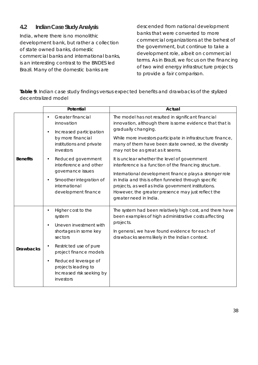# **4.2 Indian Case Study Analysis**

India, where there is no monolithic development bank, but rather a collection of state owned banks, domestic commercial banks and international banks, is an interesting contrast to the BNDES led Brazil. Many of the domestic banks are

descended from national development banks that were converted to more commercial organizations at the behest of the government, but continue to take a development role, albeit on commercial terms. As in Brazil, we focus on the financing of two wind energy infrastructure projects to provide a fair comparison.

*Table 9. Indian case study findings versus expected benefits and drawbacks of the stylized decentralized model*

|                  | Potential                                                                                                                                                                                                                                           | Actual                                                                                                                                                                                                                                                                                                                                                            |
|------------------|-----------------------------------------------------------------------------------------------------------------------------------------------------------------------------------------------------------------------------------------------------|-------------------------------------------------------------------------------------------------------------------------------------------------------------------------------------------------------------------------------------------------------------------------------------------------------------------------------------------------------------------|
| <b>Benefits</b>  | Greater financial<br>innovation<br>Increased participation<br>$\bullet$<br>by more financial<br>institutions and private<br>investors                                                                                                               | The model has not resulted in significant financial<br>innovation, although there is some evidence that that is<br>gradually changing.<br>While more investors participate in infrastructure finance,<br>many of them have been state owned, so the diversity<br>may not be as great as it seems.                                                                 |
|                  | Reduced government<br>interference and other<br>governance issues<br>Smoother integration of<br>$\bullet$<br>international<br>development finance                                                                                                   | It is unclear whether the level of government<br>interference is a function of the financing structure.<br>International development finance plays a stronger role<br>in India and this is often funneled through specific<br>projects, as well as India government institutions.<br>However, the greater presence may just reflect the<br>greater need in India. |
| <b>Drawbacks</b> | Higher cost to the<br>system<br>Uneven investment with<br>shortages in some key<br>sectors<br>Restricted use of pure<br>project finance models<br>Reduced leverage of<br>$\bullet$<br>projects leading to<br>Increased risk seeking by<br>investors | The system had been relatively high cost, and there have<br>been examples of high administrative costs affecting<br>projects.<br>In general, we have found evidence for each of<br>drawbacks seems likely in the Indian context.                                                                                                                                  |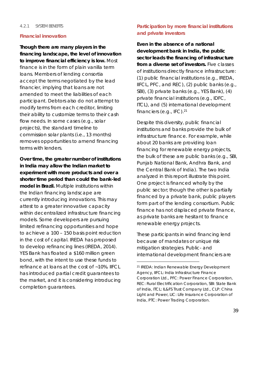#### 4.2.1 SYSTEM BENEFITS

#### **Financial innovation**

**Though there are many players in the financing landscape, the level of innovation to improve financial efficiency is low.** Most finance is in the form of plain vanilla term loans. Members of lending consortia accept the terms negotiated by the lead financier, implying that loans are not amended to meet the liabilities of each participant. Debtors also do not attempt to modify terms from each creditor, limiting their ability to customize terms to their cash flow needs. In some cases (e.g., solar projects), the standard timeline to commission solar plants (i.e., 13 months) removes opportunities to amend financing terms with lenders.

**Over time, the greater number of institutions in India may allow the Indian market to experiment with more products and over a shorter time period than could the bank-led model in Brazil.** Multiple institutions within the Indian financing landscape are currently introducing innovations. This may attest to a greater innovative capacity within decentralized infrastructure financing models. Some developers are pursuing limited refinancing opportunities and hope to achieve a 100 – 150 basis point reduction in the cost of capital. IREDA has proposed to develop refinancing lines (IREDA, 2014). YES Bank has floated a \$160 million green bond, with the intent to use these funds to refinance at loans at the cost of ~10%. IIFCL has introduced partial credit guarantees to the market, and it is considering introducing completion guarantees.

## **Participation by more financial institutions and private investors**

**Even in the absence of a national development bank in India, the public sector leads the financing of infrastructure from a diverse set of investors.** Five classes of institutions directly finance infrastructure: (1) public financial institutions (e.g., IREDA, IIFCL, PFC, and REC), (2) public banks (e.g., SBI), (3) private banks (e.g., YES Bank), (4) private financial institutions (e.g., IDFC, ITCL), and (5) international development financiers (e.g., IFC).<sup>21</sup>

Despite this diversity, public financial institutions and banks provide the bulk of infrastructure finance. For example, while about 20 banks are providing loan financing for renewable energy projects, the bulk of these are public banks (e.g., SBI, Punjab National Bank, Andhra Bank, and the Central Bank of India). The two India analyzed in this report illustrate this point. One project is financed wholly by the public sector; though the other is partially financed by a private bank, public players form part of the lending consortium. Public finance has not displaced private finance, as private banks are hesitant to finance renewable energy projects.

These participants in wind financing lend because of mandates or unique risk mitigation strategies. Public- and international development financiers are

<sup>21</sup> IREDA: Indian Renewable Energy Development Agency, IIFCL: India Infrastructure Finance Corporation Ltd., PFC: Power Finance Corporation, REC: Rural Electrification Corporation, SBI: State Bank of India, ITCL: IL&FS Trust Company Ltd., CLP: China Light and Power, LIC: Life Insurance Corporation of India, PTC: Power Trading Corporation.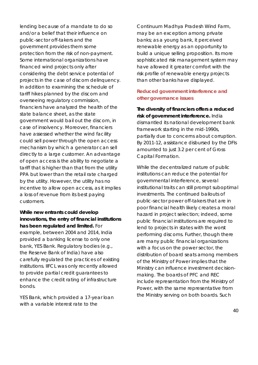lending because of a mandate to do so and/or a belief that their influence on public-sector off-takers and the government provides them some protection from the risk of non-payment. Some international organizations have financed wind projects only after considering the debt service potential of projects in the case of discom delinquency. In addition to examining the schedule of tariff hikes planned by the discom and overseeing regulatory commission, financiers have analyzed the health of the state balance sheet, as the state government would bail out the discom, in case of insolvency. Moreover, financiers have assessed whether the wind facility could sell power through the open access mechanism by which a generator can sell directly to a large customer. An advantage of open access is the ability to negotiate a tariff that is higher than that from the utility PPA but lower than the retail rate charged by the utility. However, the utility has no incentive to allow open access, as it implies a loss of revenue from its best paying customers.

**While new entrants could develop innovations, the entry of financial institutions has been regulated and limited.** For example, between 2004 and 2014, India provided a banking license to only one bank, YES Bank. Regulatory bodies (e.g., the Reserve Bank of India) have also carefully regulated the practices of existing institutions. IIFCL was only recently allowed to provide partial credit guarantees to enhance the credit rating of infrastructure bonds.

YES Bank, which provided a 17-year loan with a variable interest rate to the

Continuum Madhya Pradesh Wind Farm, may be an exception among private banks; as a young bank, it perceived renewable energy as an opportunity to build a unique selling proposition. Its more sophisticated risk management system may have allowed it greater comfort with the risk profile of renewable energy projects than other banks have displayed.

## **Reduced government interference and other governance issues**

**The diversity of financiers offers a reduced risk of government interference.** India dismantled its national development bank framework starting in the mid-1990s, partially due to concerns about corruption. By 2011-12, assistance disbursed by the DFIs amounted to just 3.2 per cent of Gross Capital Formation.

While the decentralized nature of public institutions can reduce the potential for governmental interference, several institutional traits can still prompt suboptimal investments. The continued bailouts of public-sector power off-takers that are in poor financial health likely creates a moral hazard in project selection; indeed, some public financial institutions are required to lend to projects in states with the worst performing discoms. Further, though there are many public financial organizations with a focus on the power sector, the distribution of board seats among members of the Ministry of Power implies that the Ministry can influence investment decisionmaking. The boards of PFC and REC include representation from the Ministry of Power, with the same representative from the Ministry serving on both boards. Such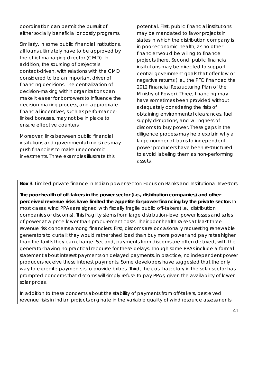coordination can permit the pursuit of either socially beneficial or costly programs.

Similarly, in some public financial institutions, all loans ultimately have to be approved by the chief managing director (CMD). In addition, the sourcing of projects is contact-driven, with relations with the CMD considered to be an important driver of financing decisions. The centralization of decision-making within organizations can make it easier for borrowers to influence the decision-making process, and appropriate financial incentives, such as performancelinked bonuses, may not be in place to ensure effective counters.

Moreover, links between public financial institutions and governmental ministries may push financiers to make uneconomic investments. Three examples illustrate this

potential. First, public financial institutions may be mandated to favor projects in states in which the distribution company is in poor economic health, as no other financier would be willing to finance projects there. Second, public financial institutions may be directed to support central government goals that offer low or negative returns (i.e., the PFC financed the 2012 Financial Restructuring Plan of the Ministry of Power). Three, financing may have sometimes been provided without adequately considering the risks of obtaining environmental clearances, fuel supply disruptions, and willingness of discoms to buy power. These gaps in the diligence process may help explain why a large number of loans to independent power producers have been restructured to avoid labeling them as non-performing assets.

*Box 3: Limited private finance in Indian power sector: Focus on Banks and Institutional Investors*

**The poor health of off-takers in the power sector (i.e., distribution companies) and other perceived revenue risks have limited the appetite for power financing by the private sector.** In most cases, wind PPAs are signed with fiscally fragile public off-takers (i.e., distribution companies or discoms). This fragility stems from large distribution-level power losses and sales of power at a price lower than procurement costs. Their poor health raises at least three revenue risk concerns among financiers. First, discoms are occasionally requesting renewable generators to curtail; they would rather shed load than buy more power and pay rates higher than the tariffs they can charge. Second, payments from discoms are often delayed, with the generator having no practical recourse for these delays. Though some PPAs include a formal statement about interest payments on delayed payments, in practice, no independent power producers receive these interest payments. Some developers have suggested that the only way to expedite payments is to provide bribes. Third, the cost trajectory in the solar sector has prompted concerns that discoms will simply refuse to pay PPAs, given the availability of lower solar prices.

In addition to these concerns about the stability of payments from off-takers, perceived revenue risks in Indian projects originate in the variable quality of wind resource assessments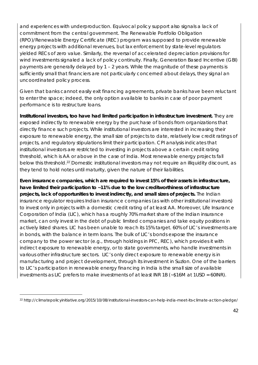and experiences with underproduction. Equivocal policy support also signals a lack of commitment from the central government. The Renewable Portfolio Obligation (RPO)/Renewable Energy Certificate (REC) program was supposed to provide renewable energy projects with additional revenues, but lax enforcement by state-level regulators yielded RECs of zero value. Similarly, the reversal of accelerated depreciation provisions for wind investments signaled a lack of policy continuity. Finally, Generation Based Incentive (GBI) payments are generally delayed by 1 – 2 years. While the magnitude of these payments is sufficiently small that financiers are not particularly concerned about delays, they signal an uncoordinated policy process.

Given that banks cannot easily exit financing agreements, private banks have been reluctant to enter the space; indeed, the only option available to banks in case of poor payment performance is to restructure loans.

**Institutional investors, too have had limited participation in infrastructure investment.** They are exposed indirectly to renewable energy by the purchase of bonds from organizations that directly finance such projects. While institutional investors are interested in increasing their exposure to renewable energy, the small size of projects to date, relatively low credit ratings of projects, and regulatory stipulations limit their participation. CPI analysis indicates that institutional investors are restricted to investing in projects above a certain credit rating threshold, which is AA or above in the case of India. Most renewable energy projects fall below this threshold.<sup>22</sup> Domestic institutional investors may not require an illiquidity discount, as they tend to hold notes until maturity, given the nature of their liabilities.

**Even insurance companies, which are required to invest 15% of their assets in infrastructure, have limited their participation to ~11% due to the low creditworthiness of infrastructure projects, lack of opportunities to invest indirectly, and small sizes of projects.** The Indian insurance regulator requires Indian insurance companies (as with other institutional investors) to invest only in projects with a domestic credit rating of at least AA. Moreover, Life Insurance Corporation of India (LIC), which has a roughly 70% market share of the Indian insurance market, can only invest in the debt of public limited companies and take equity positions in actively listed shares. LIC has been unable to reach its 15% target. 60% of LIC's investments are in bonds, with the balance in term loans. The bulk of LIC's bonds expose the insurance company to the power sector (e.g., through holdings in PFC, REC), which provides it with indirect exposure to renewable energy, or to state governments, who handle investments in various other infrastructure sectors. LIC's only direct exposure to renewable energy is in manufacturing and project development, through its investment in Suzlon. One of the barriers to LIC's participation in renewable energy financing in India is the small size of available investments as LIC prefers to make investments of at least INR 1B (~\$16M at 1USD = 60INR).

<sup>22</sup> http://climatepolicyinitiative.org/2015/10/08/institutional-investors-can-help-india-meet-its-climate-action-pledge/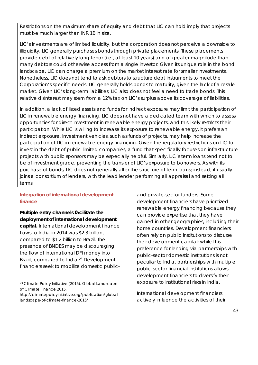Restrictions on the maximum share of equity and debt that LIC can hold imply that projects must be much larger than INR 1B in size.

LIC's investments are of limited liquidity, but the corporation does not perceive a downside to illiquidity. LIC generally purchases bonds through private placements. These placements provide debt of relatively long tenor (i.e., at least 10 years) and of greater magnitude than many debtors could otherwise access from a single investor. Given its unique role in the bond landscape, LIC can charge a premium on the market interest rate for smaller investments. Nonetheless, LIC does not tend to ask debtors to structure debt instruments to meet the Corporation's specific needs. LIC generally holds bonds to maturity, given the lack of a resale market. Given LIC's long-term liabilities, LIC also does not feel a need to trade bonds. This relative disinterest may stem from a 12% tax on LIC's surplus above its coverage of liabilities.

In addition, a lack of listed assets and funds for indirect exposure may limit the participation of LIC in renewable energy financing. LIC does not have a dedicated team with which to assess opportunities for direct investment in renewable energy projects, and this likely restricts their participation. While LIC is willing to increase its exposure to renewable energy, it prefers an indirect exposure. Investment vehicles, such as funds of projects, may help increase the participation of LIC in renewable energy financing. Given the regulatory restrictions on LIC to invest in the debt of public limited companies, a fund that specifically focuses on infrastructure projects with public sponsors may be especially helpful. Similarly, LIC's term loans tend not to be of investment grade, preventing the transfer of LIC's exposure to borrowers. As with its purchase of bonds, LIC does not generally alter the structure of term loans; instead, it usually joins a consortium of lenders, with the lead lender performing all appraisal and setting all terms.

## **Integration of international development finance**

**Multiple entry channels facilitate the deployment of international development capital.** International development finance flows to India in 2014 was \$2.3 billion, compared to \$1.2 billion to Brazil. The presence of BNDES may be discouraging the flow of international DFI money into Brazil, compared to India.<sup>23</sup> Development financiers seek to mobilize domestic public-

and private-sector funders. Some development financiers have prioritized renewable energy financing because they can provide expertise that they have gained in other geographies, including their home countries. Development financiers often rely on public institutions to disburse their development capital; while this preference for lending via partnerships with public-sector domestic institutions is not peculiar to India, partnerships with multiple public-sector financial institutions allows development financiers to diversify their exposure to institutional risks in India.

International development financiers actively influence the activities of their

<sup>23</sup> Climate Policy Initiative (2015). Global Landscape of Climate Finance 2015.

http://climatepolicyinitiative.org/publication/globallandscape-of-climate-finance-2015/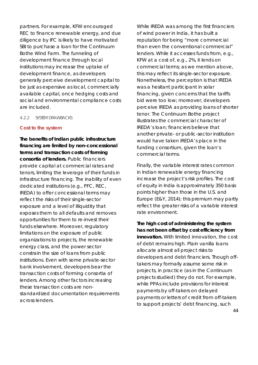partners. For example, KFW encouraged REC to finance renewable energy, and due diligence by IFC is likely to have motivated SBI to purchase a loan for the Continuum Bothe Wind Farm. The funneling of development finance through local institutions may increase the uptake of development finance, as developers generally perceive development capital to be just as expensive as local, commercially available capital, once hedging costs and social and environmental compliance costs are included.

#### 4.2.2 SYSTEM DRAWBACKS

#### **Cost to the system**

**The benefits of Indian public infrastructure financing are limited by non-concessional terms and transaction costs of forming consortia of lenders.** Public financiers provide capital at commercial rates and tenors, limiting the leverage of their funds in infrastructure financing. The inability of even dedicated institutions (e.g., PFC, REC, IREDA) to offer concessional terms may reflect the risks of their single-sector exposure and a level of illiquidity that exposes them to all defaults and removes opportunities for them to re-invest their funds elsewhere. Moreover, regulatory limitations on the exposure of public organizations to projects, the renewable energy class, and the power sector constrain the size of loans from public institutions. Even with some private-sector bank involvement, developers bear the transaction costs of forming consortia of lenders. Among other factors increasing these transaction costs are nonstandardized documentation requirements across lenders.

While IREDA was among the first financiers of wind power in India, it has built a reputation for being "more commercial than even the conventional commercial" lenders. While it accesses funds from, e.g., KFW at a cost of, e.g., 2%, it lends on commercial terms; as we mention above, this may reflect its single-sector exposure. Nonetheless, the perception is that IREDA was a hesitant participant in solar financing, given concerns that the tariffs bid were too low; moreover, developers perceive IREDA as providing loans of shorter tenor. The Continuum Bothe project illustrates the commercial character of IREDA's loan; financiers believe that another private- or public-sector institution would have taken IREDA's place in the funding consortium, given the loan's commercial terms.

Finally, the variable interest rates common in Indian renewable energy financing increase the project's risk profiles. The cost of equity in India is approximately 350 basis points higher than those in the U.S. and Europe (E&Y, 2014); this premium may partly reflect the greater risks of a variable interest rate environment.

**The high cost of administering the system has not been offset by cost efficiency from innovation.** With limited innovation, the cost of debt remains high. Plain vanilla loans allocate almost all project risks to developers and debt financiers. Though offtakers may formally assume some risk in projects, in practice (as in the Continuum projects studied) they do not. For example, while PPAs include provisions for interest payments by off-takers on delayed payments or letters of credit from off-takers to support projects' debt financing, such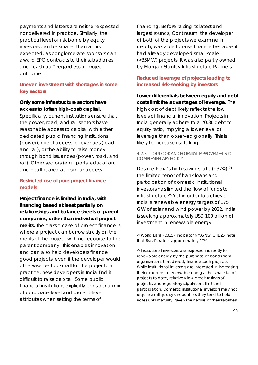payments and letters are neither expected nor delivered in practice. Similarly, the practical level of risk borne by equity investors can be smaller than at first expected, as conglomerate sponsors can award EPC contracts to their subsidiaries and "cash out" regardless of project outcome.

## **Uneven investment with shortages in some key sectors**

**Only some infrastructure sectors have access to (often high-cost) capital.** Specifically, current institutions ensure that the power, road, and rail sectors have reasonable access to capital with either dedicated public financing institutions (power), direct access to revenues (road and rail), or the ability to raise money through bond issuances (power, road, and rail). Other sectors (e.g., ports, education, and healthcare) lack similar access.

## **Restricted use of pure project finance models**

**Project finance is limited in India, with financing based at least partially on relationships and balance sheets of parent companies, rather than individual project merits.** The classic case of project finance is where a project can borrow strictly on the merits of the project with no recourse to the parent company. This enables innovation and can also help developers finance good projects, even if the developer would otherwise be too small for the project. In practice, new developers in India find it difficult to raise capital. Some public financial institutions explicitly consider a mix of corporate-level and project-level attributes when setting the terms of

financing. Before raising its latest and largest rounds, Continuum, the developer of both of the projects we examine in depth, was able to raise finance because it had already developed small-scale (<35MW) projects. It was also partly owned by Morgan Stanley Infrastructure Partners.

## **Reduced leverage of projects leading to increased risk-seeking by investors**

**Lower differentials between equity and debt costs limit the advantages of leverage.** The high cost of debt likely reflects the low levels of financial innovation. Projects in India generally adhere to a 70:30 debt to equity ratio, implying a lower level of leverage than observed globally. This is likely to increase risk taking.

#### 4.2.3 OUTLOOK AND POTENTIAL IMPROVEMENTSTO COMPLEMENTARY POLICY

Despite India's high savings rate  $(-32\%)$ ,  $^{24}$ the limited tenor of bank loans and participation of domestic institutional investors has limited the flow of funds to infrastructure.25 Yet in order to achieve India's renewable energy targets of 175 GW of solar and wind power by 2022, India is seeking approximately USD 100 billion of investment in renewable energy

<sup>24</sup> World Bank (2015), indicator NY.GNS/TOTL.ZS; note that Brazil's rate is approximately 17%.

<sup>25</sup> Institutional investors are exposed indirectly to renewable energy by the purchase of bonds from organizations that directly finance such projects. While institutional investors are interested in increasing their exposure to renewable energy, the small size of projects to date, relatively low credit ratings of projects, and regulatory stipulations limit their participation. Domestic institutional investors may not require an illiquidity discount, as they tend to hold notes until maturity, given the nature of their liabilities.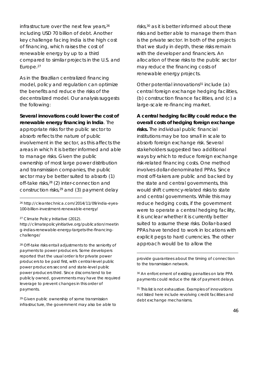infrastructure over the next few years,<sup>26</sup> including USD 70 billion of debt. Another key challenge facing India is the high cost of financing, which raises the cost of renewable energy by up to a third compared to similar projects in the U.S. and Europe.27

As in the Brazilian centralized financing model, policy and regulation can optimize the benefits and reduce the risks of the decentralized model. Our analysis suggests the following:

**Several innovations could lower the cost of renewable energy financing in India**. The appropriate risks for the public sector to absorb reflects the nature of public involvement in the sector, as this affects the areas in which it is better informed and able to manage risks. Given the public ownership of most large power distribution and transmission companies, the public sector may be better suited to absorb (1) off-take risks,28 (2) inter-connection and construction risks, $29$  and (3) payment delay

<sup>27</sup> Climate Policy Initiative (2012).

http://climatepolicyinitiative.org/publication/meetin g-indias-renewable-energy-targets-the-financingchallenge/

<sup>28</sup> Off-take risks entail adjustments to the seniority of payments to power producers. Some developers reported that the usual order is for private power producers to be paid first, with central-level public power producers second and state-level public power producers third. Since discoms tend to be publicly owned, governments may have the required leverage to prevent changes in this order of payments.

<sup>29</sup> Given public ownership of some transmission infrastructure, the government may also be able to risks,<sup>30</sup> as it is better informed about these risks and better able to manage them than is the private sector. In both of the projects that we study in depth, these risks remain with the developer and financiers. An allocation of these risks to the public sector may reduce the financing costs of renewable energy projects.

Other potential innovations $31$  include (a) central foreign exchange hedging facilities, (b) construction finance facilities, and (c) a large-scale re-financing market.

**A central hedging facility could reduce the overall costs of hedging foreign exchange risks.** The individual public financial institutions may be too small in scale to absorb foreign exchange risk. Several stakeholders suggested two additional ways by which to reduce foreign exchange risk-related financing costs. One method involves dollar-denominated PPAs. Since most off-takers are public and backed by the state and central governments, this would shift currency-related risks to state and central governments. While this may reduce hedging costs, if the government were to operate a central hedging facility, it is unclear whether it is currently better suited to assume these risks. Dollar-based PPAs have tended to work in locations with explicit pegs to hard currencies. The other approach would be to allow the

provide guarantees about the timing of connection to the transmission network.

<sup>30</sup> An enforcement of existing penalties on late PPA payments could reduce the risk of payment delays.

<sup>31</sup> This list is not exhaustive. Examples of innovations not listed here include revolving credit facilities and debt exchange mechanisms.

<sup>26</sup> http://cleantechnica.com/2014/11/09/india-eyes-100-billion-investment-renewable-energy/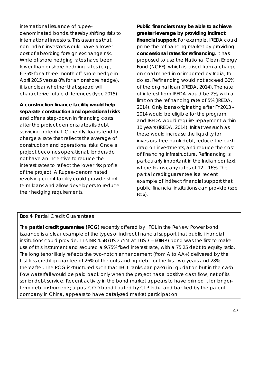international issuance of rupeedenominated bonds, thereby shifting risks to international investors. This assumes that non-Indian investors would have a lower cost of absorbing foreign exchange risk. While offshore hedging rates have been lower than onshore hedging rates (e.g., 6.35% for a three month off-shore hedge in April 2015 versus 8% for an onshore hedge), it is unclear whether that spread will characterize future differences (Iyer, 2015).

**A construction finance facility would help separate construction and operational risks**  and offer a step-down in financing costs after the project demonstrates its debt servicing potential. Currently, loans tend to charge a rate that reflects the average of construction and operational risks. Once a project becomes operational, lenders do not have an incentive to reduce the interest rates to reflect the lower risk profile of the project. A Rupee-denominated revolving credit facility could provide shortterm loans and allow developers to reduce their hedging requirements.

**Public financiers may be able to achieve greater leverage by providing indirect financial support.** For example, IREDA could prime the refinancing market by providing **concessional rates for refinancing**. It has proposed to use the National Clean Energy Fund (NCEF), which is raised from a charge on coal mined in or imported by India, to do so. Refinancing would not exceed 30% of the original loan (IREDA, 2014). The rate of interest from IREDA would be 2%, with a limit on the refinancing rate of 5% (IREDA, 2014). Only loans originating after FY2013 – 2014 would be eligible for the program, and IREDA would require repayment within 10 years (IREDA, 2014). Initiatives such as these would increase the liquidity for investors, free bank debt, reduce the cash drag on investments, and reduce the cost of financing infrastructure. Refinancing is particularly important in the Indian context, where loans carry rates of 12 – 16%. The partial credit guarantee is a recent example of indirect financial support that public financial institutions can provide (see Box).

#### *Box 4: Partial Credit Guarantees*

The **partial credit guarantee (PCG)** recently offered by IIFCL in the ReNew Power bond issuance is a clear example of the types of indirect financial support that public financial institutions could provide. This INR 4.5B (USD 75M at 1USD = 60INR) bond was the first to make use of this instrument and secured a 9.75% fixed interest rate, with a 75:25 debt to equity ratio. The long tenor likely reflects the two-notch enhancement (from A to AA+) delivered by the first-loss credit guarantee of 26% of the outstanding debt for the first two years and 28% thereafter. The PCG is structured such that IIFCL ranks pari passu in liquidation but in the cash flow waterfall would be paid back only when the project has a positive cash flow, net of its senior debt service. Recent activity in the bond market appears to have primed it for longerterm debt instruments; a post COD bond floated by CLP India and backed by the parent company in China, appears to have catalyzed market participation.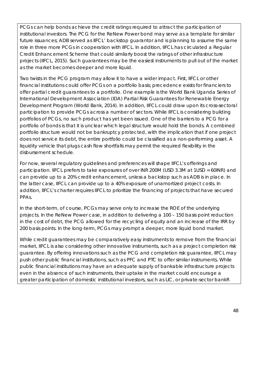PCGs can help bonds achieve the credit ratings required to attract the participation of institutional investors. The PCG for the ReNew Power bond may serve as a template for similar future issuances; ADB served as IIFCL' backstop guarantor and is planning to assume the same role in three more PCGs in cooperation with IIFCL. In addition, IIFCL has circulated a Regular Credit Enhancement Scheme that could similarly boost the ratings of other infrastructure projects (IIFCL, 2015). Such guarantees may be the easiest instruments to pull out of the market as the market becomes deeper and more liquid.

Two twists in the PCG program may allow it to have a wider impact. First, IIFCL or other financial institutions could offer PCGs on a portfolio basis; precedence exists for financiers to offer partial credit guarantees to a portfolio. One example is the World Bank Uganda Series of International Development Association (IDA) Partial Risk Guarantees for Renewable Energy Development Program (World Bank, 2014). In addition, IIFCL could draw upon its cross-sectoral participation to provide PCGs across a number of sectors. While IIFCL is considering building portfolios of PCGs, no such product has yet been issued. One of the barriers to a PCG for a portfolio of bonds is that it is unclear which legal structure would hold the bonds. A combined portfolio structure would not be bankruptcy protected, with the implication that if one project does not service its debt, the entire portfolio could be classified as a non-performing asset. A liquidity vehicle that plugs cash flow shortfalls may permit the required flexibility in the disbursement schedule.

For now, several regulatory guidelines and preferences will shape IIFCL's offerings and participation. IIFCL prefers to take exposures of over INR 200M (USD 3.3M at 1USD = 60INR) and can provide up to a 20% credit enhancement, unless a backstop such as ADB is in place. In the latter case, IIFCL can provide up to a 40% exposure of unamortized project costs. In addition, IIFCL's charter requires IIFCL to prioritize the financing of projects that have secured PPAs.

In the short-term, of course, PCGs may serve only to increase the ROE of the underlying projects. In the ReNew Power case, in addition to delivering a 100 – 150 basis point reduction in the cost of debt, the PCG allowed for the recycling of equity and an increase of the IRR by 200 basis points. In the long-term, PCGs may prompt a deeper, more liquid bond market.

While credit guarantees may be comparatively easy instruments to remove from the financial market, IIFCL is also considering other innovative instruments, such as a project completion risk guarantee. By offering innovations such as the PCG and completion risk guarantee, IIFCL may push other public financial institutions, such as PFC and PTC to offer similar instruments. While public financial institutions may have an adequate supply of bankable infrastructure projects even in the absence of such instruments, their uptake in the market could encourage a greater participation of domestic institutional investors, such as LIC, or private-sector bankR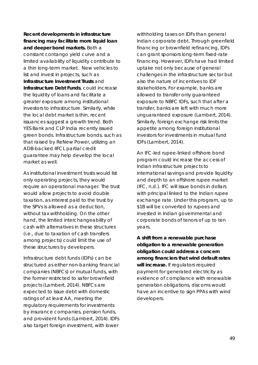**Recent developments in infrastructure financing may facilitate more liquid loan and deeper bond markets.** Both a constant contango yield curve and a limited availability of liquidity contribute to a thin long-term market. New vehicles to list and invest in projects, such as **Infrastructure Investment Trusts** and **Infrastructure Debt Funds**, could increase the liquidity of loans and facilitate a greater exposure among institutional investors to infrastructure. Similarly, while the local debt market is thin, recent issuances suggest a growth trend. Both YES Bank and CLP India recently issued green bonds. Infrastructure bonds, such as that raised by ReNew Power, utilizing an ADB-backed IIFCL partial credit guarantee may help develop the local market as well.

As institutional investment trusts would list only operating projects, they would require an operational manager. The trust would allow projects to avoid double taxation, as interest paid to the trust by the SPVs is allowed as a deduction, without tax withholding. On the other hand, the limited interchangeability of cash with alternatives in these structures (i.e., due to taxation of cash transfers among projects) could limit the use of these structures by developers.

Infrastructure debt funds (IDFs) can be structured as either non-banking financial companies (NBFCs) or mutual funds, with the former restricted to safer brownfield projects (Lambert, 2014). NBFCs are expected to issue debt with domestic ratings of at least AA, meeting the regulatory requirements for investments by insurance companies, pension funds, and provident funds (Lambert, 2014). IDFs also target foreign investment, with lower

withholding taxes on IDFs than general Indian corporate debt. Through greenfield financing or brownfield refinancing, IDFs can grant sponsors long-term fixed-rate financing. However, IDFs have had limited uptake not only because of general challenges in the infrastructure sector but also the nature of incentives to IDF stakeholders. For example, banks are allowed to transfer only guaranteed exposure to NBFC IDFs, such that after a transfer, banks are left with much more unguaranteed exposure (Lambert, 2014). Similarly, foreign exchange risk limits the appetite among foreign institutional investors for investments in mutual fund IDFs (Lambert, 2014).

An IFC-led rupee-linked offshore bond program could increase the access of Indian infrastructure projects to international savings and provide liquidity and depth to an offshore rupee market (IFC, n.d.). IFC will issue bonds in dollars with principal linked to the Indian rupee exchange rate. Under this program, up to \$1B will be converted to rupees and invested in Indian governmental and corporate bonds of tenors of up to ten years.

**A shift from a renewable purchase obligation to a renewable generation obligation could address a concern among financiers that wind default rates will increase.** If regulators required payment for generated electricity as evidence of compliance with renewable generation obligations, discoms would have an incentive to sign PPAs with wind developers.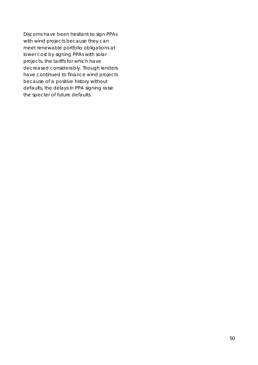Discoms have been hesitant to sign PPAs with wind projects because they can meet renewable portfolio obligations at lower cost by signing PPAs with solar projects, the tariffs for which have decreased considerably. Though lenders have continued to finance wind projects because of a positive history without defaults, the delays in PPA signing raise the specter of future defaults.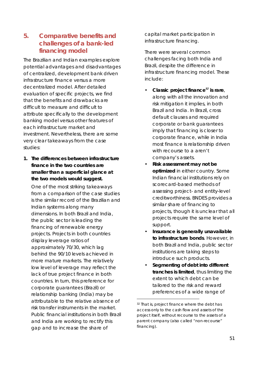# **5. Comparative benefits and challenges of a bank-led financing model**

The Brazilian and Indian examples explore potential advantages and disadvantages of centralized, development bank driven infrastructure finance versus a more decentralized model. After detailed evaluation of specific projects, we find that the benefits and drawbacks are difficult to measure and difficult to attribute specifically to the development banking model versus other features of each infrastructure market and investment. Nevertheless, there are some very clear takeaways from the case studies:

**1. The differences between infrastructure finance in the two countries are smaller than a superficial glance at the two models would suggest.**

One of the most striking takeaways from a comparison of the case studies is the similar record of the Brazilian and Indian systems along many dimensions. In both Brazil and India, the public sector is leading the financing of renewable energy projects. Projects in both countries display leverage ratios of approximately 70/30, which lag behind the 90/10 levels achieved in more mature markets. The relatively low level of leverage may reflect the lack of true project finance in both countries. In turn, this preference for corporate guarantees (Brazil) or relationship banking (India) may be attributable to the relative absence of risk transfer instruments in the market. Public financial institutions in both Brazil and India are working to rectify this gap and to increase the share of

capital market participation in infrastructure financing.

There were several common challenges facing both India and Brazil, despite the difference in infrastructure financing model. These include:

- *Classic project finance<sup>32</sup> is rare*, along with all the innovation and risk mitigation it implies, in both Brazil and India. In Brazil, cross default clauses and required corporate or bank guarantees imply that financing is closer to corporate finance, while in India most finance is relationship driven with recourse to a aren't company's assets.
- *Risk assessment may not be optimized* in either country. Some Indian financial institutions rely on scorecard-based methods of assessing project- and entity-level creditworthiness. BNDES provides a similar share of financing to projects, though it is unclear that all projects require the same level of support.
- *Insurance is generally unavailable to infrastructure bonds*. However, in both Brazil and India, public sector institutions are taking steps to introduce such products.
- *Segmenting of debt into different tranches is limited*, thus limiting the extent to which debt can be tailored to the risk and reward preferences of a wide range of

 $\overline{a}$ 

<sup>&</sup>lt;sup>32</sup> That is, project finance where the debt has access only to the cash flow and assets of the project itself, without recourse to the assets of a parent company (also called "non-recourse" financing).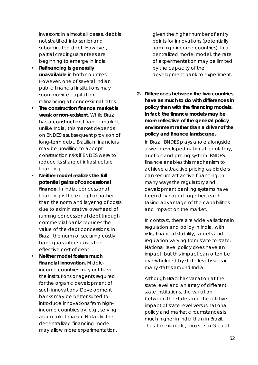investors; in almost all cases, debt is not stratified into senior and subordinated debt. However, partial credit guarantees are beginning to emerge in India.

- *Refinancing is generally unavailable* in both countries. However, one of several Indian public financial institutions may soon provide capital for refinancing at concessional rates.
- *The construction finance market is weak or non-existent*. While Brazil has a construction finance market, unlike India, this market depends on BNDES's subsequent provision of long-term debt. Brazilian financiers may be unwilling to accept construction risks if BNDES were to reduce its share of infrastructure financing.
- *Neither model realizes the full potential gains of concessional finance*. In India, concessional financing is the exception rather than the norm and layering of costs due to administrative overhead of running concessional debt through commercial banks reduces the value of the debt concessions. In Brazil, the norm of securing costly bank guarantees raises the effective cost of debt.
- *Neither model fosters much financial innovation.* Middleincome countries may not have the institutions or agents required for the organic development of such innovations. Development banks may be better suited to introduce innovations from highincome countries by, e.g., serving as a market maker. Notably, the decentralized financing model may allow more experimentation,

given the higher number of entry points for innovations (potentially from high-income countries). In a centralized model model, the rate of experimentation may be limited by the capacity of the development bank to experiment.

**2. Differences between the two countries have as much to do with differences in policy than with the financing models. In fact, the finance models may be more reflective of the general policy environment rather than a driver of the policy and finance landscape.**  In Brazil, BNDES plays a role alongside a well-developed national regulatory, auction and pricing system. BNDES finance enables this mechanism to achieve attractive pricing as bidders can secure attractive financing. In many ways the regulatory and development banking systems have been developed together, each taking advantage of the capabilities and impact on the market.

In contrast, there are wide variations in regulation and policy in India, with risks, financial stability, targets and regulation varying from state to state. National level policy does have an impact, but this impact can often be overwhelmed by state level issues in many states around India.

Although Brazil has variation at the state level and an array of different state institutions, the variation between the states and the relative impact of state level versus national policy and market circumstances is much higher in India than in Brazil. Thus, for example, projects in Gujurat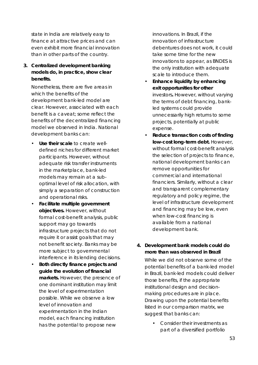state in India are relatively easy to finance at attractive prices and can even exhibit more financial innovation than in other parts of the country.

**3. Centralized development banking models do, in practice, show clear benefits.**

Nonetheless, there are five areas in which the benefits of the development bank-led model are clear. However, associated with each benefit is a caveat; some reflect the benefits of the decentralized financing model we observed in India. National development banks can:

- *Use their scale* to create welldefined niches for different market participants. However, without adequate risk transfer instruments in the marketplace, bank-led models may remain at a suboptimal level of risk allocation, with simply a separation of construction and operational risks.
- *Facilitate multiple government objectives.* However, without formal cost-benefit analysis, public support may go towards infrastructure projects that do not require it or assist goals that may not benefit society. Banks may be more subject to governmental interference in its lending decisions.
- *Both directly finance projects and guide the evolution of financial markets.* However, the presence of one dominant institution may limit the level of experimentation possible. While we observe a low level of innovation and experimentation in the Indian model, each financing institution has the potential to propose new

innovations. In Brazil, if the innovation of infrastructure debentures does not work, it could take some time for the new innovations to appear, as BNDES is the only institution with adequate scale to introduce them.

- *Enhance liquidity by enhancing exit opportunities for other*  investors*.* However, without varying the terms of debt financing, bankled systems could provide unnecessarily high returns to some projects, potentially at public expense.
- *Reduce transaction costs of finding low-cost long-term debt.* However, without formal cost-benefit analysis the selection of projects to finance, national development banks can remove opportunities for commercial and international financiers. Similarly, without a clear and transparent complementary regulatory and policy regime, the level of infrastructure development and financing may be low, even when low-cost financing is available from a national development bank.
- **4. Development bank models could do more than was observed in Brazil** While we did not observe some of the potential benefits of a bank-led model in Brazil, bank-led models could deliver those benefits, if the appropriate institutional design and decisionmaking procedures are in place. Drawing upon the potential benefits listed in our comparison matrix, we suggest that banks can:
	- Consider their investments as part of a diversified portfolio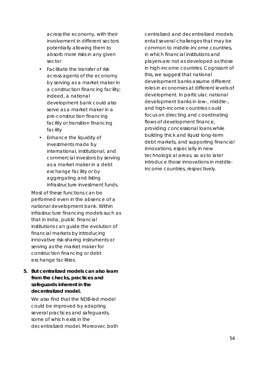across the economy, with their involvement in different sectors potentially allowing them to absorb more risks in any given sector

- Facilitate the transfer of risk across agents of the economy by serving as a market maker in a construction financing facility; indeed, a national development bank could also serve as a market maker in a pre-construction financing facility or transition financing facility
- Enhance the liquidity of investments made by international, institutional, and commercial investors by serving as a market maker in a debt exchange facility or by aggregating and listing infrastructure investment funds.

Most of these functions can be performed even in the absence of a national development bank. Within infrastructure financing models such as that in India, public financial institutions can guide the evolution of financial markets by introducing innovative risk-sharing instruments or serving as the market maker for construction financing or debt exchange facilities.

**5. But centralized models can also learn from the checks, practices and safeguards inherent in the decentralized model.**

We also find that the NDB-led model could be improved by adapting several practices and safeguards, some of which exist in the decentralized model. Moreover, both centralized and decentralized models entail several challenges that may be common to middle-income countries, in which financial institutions and players are not as developed as those in high-income countries. Cognizant of this, we suggest that national development banks assume different roles in economies at different levels of development. In particular, national development banks in low-, middle-, and high-income countries could focus on directing and coordinating flows of development finance, providing concessional loans while building thick and liquid long-term debt markets, and supporting financial innovations, especially in new technological areas, so as to later introduce those innovations in middleincome countries, respectively.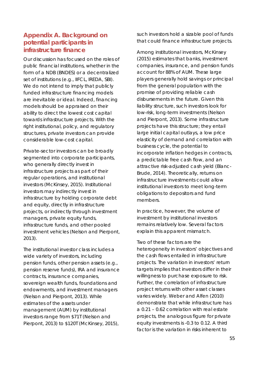# **Appendix A. Background on potential participants in infrastructure finance**

Our discussion has focused on the roles of public financial institutions, whether in the form of a NDB (BNDES) or a decentralized set of institutions (e.g., IIFCL, IREDA, SBI). We do not intend to imply that publicly funded infrastructure financing models are inevitable or ideal. Indeed, financing models should be appraised on their ability to direct the lowest cost capital towards infrastructure projects. With the right institutional, policy, and regulatory structures, private investors can provide considerable low-cost capital.

Private-sector investors can be broadly segmented into corporate participants, who generally directly invest in infrastructure projects as part of their regular operations, and institutional investors (McKinsey, 2015). Institutional investors may indirectly invest in infrastructure by holding corporate debt and equity, directly in infrastructure projects, or indirectly through investment managers, private equity funds, infrastructure funds, and other pooled investment vehicles (Nelson and Pierpont, 2013).

The institutional investor class includes a wide variety of investors, including pension funds, other pension assets (e.g., pension reserve funds), IRA and insurance contracts, insurance companies, sovereign wealth funds, foundations and endowments, and investment managers (Nelson and Pierpont, 2013). While estimates of the assets under management (AUM) by institutional investors range from \$71T (Nelson and Pierpont, 2013) to \$120T (McKinsey, 2015),

such investors hold a sizable pool of funds that could finance infrastructure projects.

Among institutional investors, McKinsey (2015) estimates that banks, investment companies, insurance, and pension funds account for 88% of AUM. These large players generally hold savings or principal from the general population with the promise of providing reliable cash disbursements in the future. Given this liability structure, such investors look for low-risk, long-term investments (Nelson and Pierpont, 2013). Some infrastructure projects have this structure; they entail large initial capital outlays, a low price elasticity of demand and correlation with business cycle, the potential to incorporate inflation hedges in contracts, a predictable free cash flow, and an attractive risk-adjusted cash yield (Blanc-Brude, 2014). Theoretically, returns on infrastructure investments could allow institutional investors to meet long-term obligations to depositors and fund members.

In practice, however, the volume of investment by institutional investors remains relatively low. Several factors explain this apparent mismatch.

Two of these factors are the heterogeneity in investors' objectives and the cash flows entailed in infrastructure projects. The variation in investors' return targets implies that investors differ in their willingness to purchase exposure to risk. Further, the correlation of infrastructure project returns with other asset classes varies widely. Weber and Alfen (2010) demonstrate that while infrastructure has a 0.21 – 0.62 correlation with real estate projects, the analogous figure for private equity investments is -0.3 to 0.12. A third factor is the variation in risks inherent to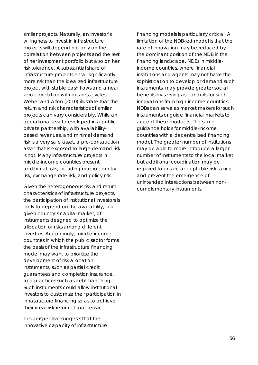similar projects. Naturally, an investor's willingness to invest in infrastructure projects will depend not only on the correlation between projects and the rest of her investment portfolio but also on her risk tolerance. A substantial share of infrastructure projects entail significantly more risk than the idealized infrastructure project with stable cash flows and a near zero correlation with business cycles. Weber and Alfen (2010) illustrate that the return and risk characteristics of similar projects can vary considerably. While an operational asset developed in a publicprivate partnership, with availabilitybased revenues, and minimal demand risk is a very safe asset, a pre-construction asset that is exposed to large demand risk is not. Many infrastructure projects in middle-income countries present additional risks, including macro country risk, exchange rate risk, and policy risk.

Given the heterogeneous risk and return characteristics of infrastructure projects, the participation of institutional investors is likely to depend on the availability, in a given country's capital market, of instruments designed to optimize the allocation of risks among different investors. Accordingly, middle-income countries in which the public sector forms the basis of the infrastructure financing model may want to prioritize the development of risk allocation instruments, such as partial credit guarantees and completion insurance, and practices such as debt tranching. Such instruments could allow institutional investors to customize their participation in infrastructure financing so as to achieve their ideal risk-return characteristic.

This perspective suggests that the innovative capacity of infrastructure financing models is particularly critical. A limitation of the NDB-led model is that the rate of innovation may be reduced by the dominant position of the NDB in the financing landscape. NDBs in middleincome countries, where financial institutions and agents may not have the sophistication to develop or demand such instruments, may provide greater social benefits by serving as conduits for such innovations from high-income countries. NDBs can serve as market makers for such instruments or guide financial markets to accept these products. The same guidance holds for middle-income countries with a decentralized financing model. The greater number of institutions may be able to more introduce a larger number of instruments to the local market but additional coordination may be required to ensure acceptable risk taking and prevent the emergence of unintended interactions between noncomplementary instruments.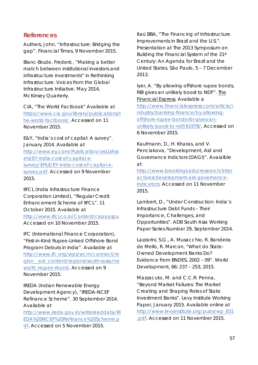# **References**

Authers, John, "Infrastructure: Bridging the gap". Financial Times, 9 November 2015.

Blanc-Brude, Frederic, "Making a better match between institutional investors and infrastructure investments" in Rethinking Infrastructure: Voices from the Global Infrastructure Initiative. May 2014, *McKinsey Quarterly*.

CIA, "The World Factbook" Available at https://www.cia.gov/library/publications/t he-world-factbook/. Accessed on 11 November 2015.

E&Y, "India's cost of capital: A survey". January 2014. Available at http://www.ey.com/Publication/vwLUAss ets/EY-india-cost-of-capital-asurvey/\$FILE/EY-india-cost-of-capital-asurvey.pdf. Accessed on 9 November 2015.

IIFCL (India Infrastructure Finance Corporation Limited), "Regular Credit Enhancement Scheme of IIFCL". 11 October 2015. Available at http://www.iifcl.co.in/Content/ceps.aspx. Accessed on 10 November 2015.

IFC (International Finance Corporation), "First-in-Kind Rupee-Linked Offshore Bond Program Debuts in India". Available at http://www.ifc.org/wps/wcm/connect/re gion\_\_ext\_content/regions/south+asia/ne ws/ifc+rupee+bond. Accessed on 9 November 2015.

IREDA (Indian Renewable Energy Development Agency), "IREDA-NCEF Refinance Scheme". 30 September 2014. Available at

http://www.ireda.gov.in/writereaddata/IR EDA%20NCEF%20Refinance%20Scheme.p df. Accessed on 5 November 2015.

Itaú BBA, "The Financing of Infrastructure Improvements in Brazil and the U.S.". Presentation at The 2013 Symposium on Building the Financial System of the 21st Century: An Agenda for Brazil and the United States. São Paulo, 5 – 7 December 2013.

Iyer, A. "By allowing offshore rupee bonds, RBI gives an unlikely boost to NDF". The Financial Express. Available a

http://www.financialexpress.com/article/i ndustry/banking-finance/by-allowingoffshore-rupee-bonds-rbi-gives-anunlikely-boost-to-ndf/61978/. Accessed on 6 November 2015.

Kaufmann, D., H. Kharas, and V. Penciakova, "Development, Aid and Governance Indictors (DAGI)". Avaialble at

http://www.brookings.edu/research/inter actives/development-aid-governanceindicators. Accessed on 11 November 2015.

Lambert, D., "Under Construction: India's Infrastructure Debt Funds – Their Importance, Challenges, and Opportunities". *ADB South Asia Working Paper Series* Number 29, September 2014.

Lazzarini, S.G., A. Musacchio, R. Bandeira de Mello, R. Marcon, "What do State-Owned Development Banks Do? Evidence from BNDES, 2002 – 09". *World Development,* 66: 237 – 253, 2015.

Mazzacuto, M. and C.C.R. Penna, "Beyond Market Failures: The Market Creating and Shaping Roles of State Investment Banks". Levy Institute Working Paper, January 2015. Available online at http://www.levyinstitute.org/pubs/wp\_831 .pdf. Accessed on 11 November 2015.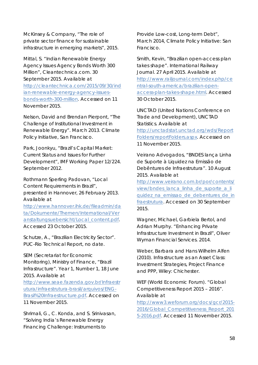McKinsey & Company, "The role of private sector finance for sustainable infrastructure in emerging markets", 2015.

Mittal, S. "Indian Renewable Energy Agency Issues Agency Bonds Worth 300 Million", Cleantechnica.com. 30 September 2015. Available at http://cleantechnica.com/2015/09/30/ind ian-renewable-energy-agency-issuesbonds-worth-300-million. Accessed on 11 November 2015.

Nelson, David and Brendan Pierpont, "The Challenge of Institutional Investment in Renewable Energy". March 2013. Climate Policy Initiative, San Francisco.

Park, Joonkyu, "Brazil's Capital Market: Current Status and Issues for Further Development", IMF Working Paper 12/224. September 2012.

Rothmann Sperling Padovan, "Local Content Requirements in Brazil", presented in Hannover, 26 February 2013. Available at http://www.hannover.ihk.de/fileadmin/da ta/Dokumente/Themen/International/Ver anstaltungsuebersicht/Local\_content.pdf.

Accessed 23 October 2015.

Schutze, A., "Brazilian Electricity Sector". PUC-Rio Technical Report, no date.

SEM (Secretariat for Economic Monitoring), Ministry of Finance, "Brazil Infrastructure". Year 1, Number 1, 18 June 2015. Available at

http://www.seae.fazenda.gov.br/Infraestr utura/infraestrutura-brasil/arquivos/ENG-Brasil%20Infraestructure.pdf. Accessed on 11 November 2015.

Shrimali, G., C. Konda, and S. Srinivasan, "Solving India's Renewable Energy Financing Challenge: Instruments to

Provide Low-cost, Long-term Debt", March 2014, Climate Policy Initiative: San Francisco.

Smith, Kevin, "Brazilian open-access plan takes shape". International Railway Journal. 27 April 2015. Available at http://www.railjournal.com/index.php/ce ntral-south-america/brazilian-openaccess-plan-takes-shape.html. Accessed 30 October 2015.

UNCTAD (United Nations Conference on Trade and Development), UNCTAD Statistics. Available at http://unctadstat.unctad.org/wds/Report Folders/reportFolders.aspx. Accessed on 11 November 2015.

Veirano Advogados, "BNDES lança Linha de Suporte à Liquidez na Emissão de Debêntures de Infraestrutura". 10 August 2015. Available at

http://www.veirano.com.br/por/contents/ view/bndes lanca linha de suporte a li quidez na emissao de debentures de in fraestrutura. Accessed on 30 September 2015.

Wagner, Michael, Garbiela Bertol, and Adrian Murphy. "Enhancing Private Infrastructure Investment in Brazil", Oliver Wyman Financial Services. 2014.

Weber, Barbara and Hans Wilhelm Alfen (2010). Infrastructure as an Asset Class: Investment Strategies, Project Finance and PPP, Wiley: Chichester.

WEF (World Economic Forum). "Global Competitiveness Report 2015 – 2016". Available at

http://www3.weforum.org/docs/gcr/2015- 2016/Global\_Competitiveness\_Report\_201 5-2016.pdf. Accessed 11 November 2015.